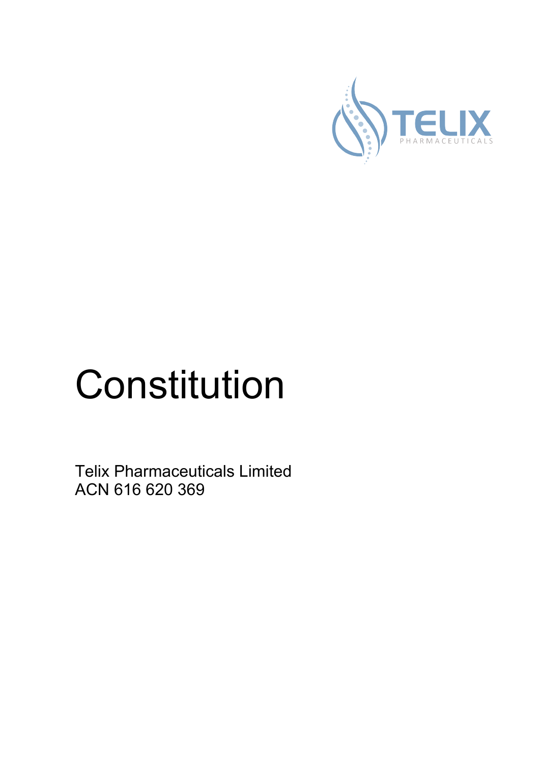

# Constitution

Telix Pharmaceuticals Limited ACN 616 620 369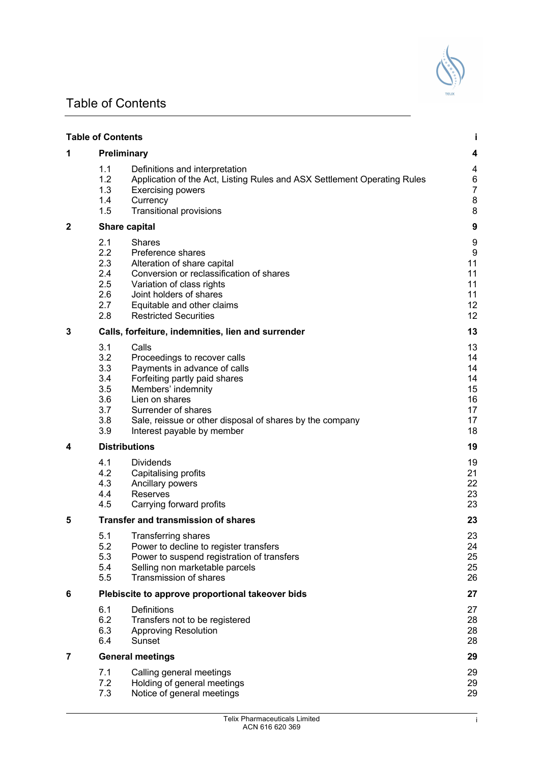## Table of Contents

|   | <b>Table of Contents</b>                                    |                                                                                                                                                                                                                                                                 |                                                    |
|---|-------------------------------------------------------------|-----------------------------------------------------------------------------------------------------------------------------------------------------------------------------------------------------------------------------------------------------------------|----------------------------------------------------|
| 1 |                                                             | Preliminary                                                                                                                                                                                                                                                     | 4                                                  |
|   | 1.1<br>1.2<br>1.3<br>1.4<br>1.5                             | Definitions and interpretation<br>Application of the Act, Listing Rules and ASX Settlement Operating Rules<br><b>Exercising powers</b><br>Currency<br><b>Transitional provisions</b>                                                                            | 4<br>6<br>7<br>8<br>8                              |
| 2 |                                                             | <b>Share capital</b>                                                                                                                                                                                                                                            | 9                                                  |
|   | 2.1<br>2.2<br>2.3<br>2.4<br>2.5<br>2.6<br>2.7<br>2.8        | <b>Shares</b><br>Preference shares<br>Alteration of share capital<br>Conversion or reclassification of shares<br>Variation of class rights<br>Joint holders of shares<br>Equitable and other claims<br><b>Restricted Securities</b>                             | 9<br>g<br>11<br>11<br>11<br>11<br>12<br>12         |
| 3 |                                                             | Calls, forfeiture, indemnities, lien and surrender                                                                                                                                                                                                              | 13                                                 |
|   | 3.1<br>3.2<br>3.3<br>3.4<br>3.5<br>3.6<br>3.7<br>3.8<br>3.9 | Calls<br>Proceedings to recover calls<br>Payments in advance of calls<br>Forfeiting partly paid shares<br>Members' indemnity<br>Lien on shares<br>Surrender of shares<br>Sale, reissue or other disposal of shares by the company<br>Interest payable by member | 13<br>14<br>14<br>14<br>15<br>16<br>17<br>17<br>18 |
| 4 |                                                             | <b>Distributions</b>                                                                                                                                                                                                                                            | 19                                                 |
|   | 4.1<br>4.2<br>4.3<br>4.4<br>4.5                             | <b>Dividends</b><br>Capitalising profits<br>Ancillary powers<br>Reserves<br>Carrying forward profits                                                                                                                                                            | 19<br>21<br>22<br>23<br>23                         |
| 5 |                                                             | <b>Transfer and transmission of shares</b>                                                                                                                                                                                                                      | 23                                                 |
|   | 5.1<br>5.2<br>5.3<br>5.4<br>5.5                             | <b>Transferring shares</b><br>Power to decline to register transfers<br>Power to suspend registration of transfers<br>Selling non marketable parcels<br>Transmission of shares                                                                                  | 23<br>24<br>25<br>25<br>26                         |
| 6 | Plebiscite to approve proportional takeover bids            |                                                                                                                                                                                                                                                                 |                                                    |
|   | 6.1<br>6.2<br>6.3<br>6.4                                    | Definitions<br>Transfers not to be registered<br><b>Approving Resolution</b><br>Sunset                                                                                                                                                                          | 27<br>28<br>28<br>28                               |
| 7 |                                                             | <b>General meetings</b>                                                                                                                                                                                                                                         | 29                                                 |
|   | 7.1<br>7.2<br>7.3                                           | Calling general meetings<br>Holding of general meetings<br>Notice of general meetings                                                                                                                                                                           | 29<br>29<br>29                                     |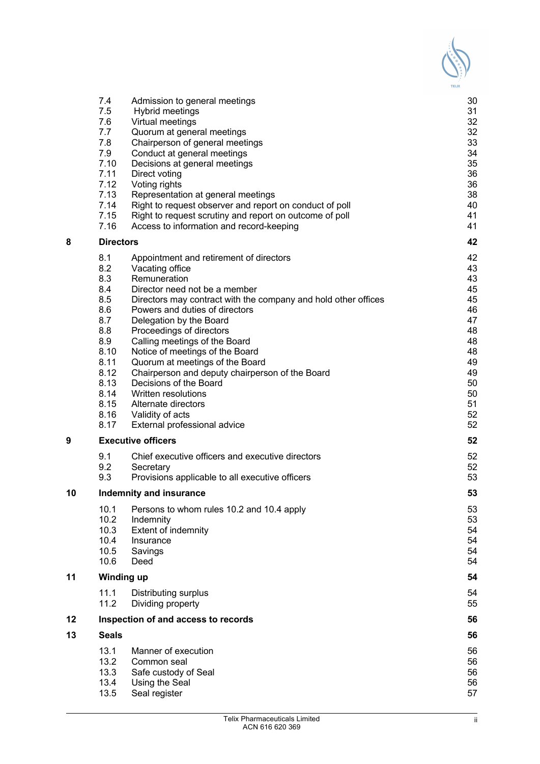|    | 7.4               | Admission to general meetings                                  | 30 |
|----|-------------------|----------------------------------------------------------------|----|
|    | 7.5               | Hybrid meetings                                                | 31 |
|    | 7.6               | Virtual meetings                                               | 32 |
|    | 7.7               | Quorum at general meetings                                     | 32 |
|    | 7.8               | Chairperson of general meetings                                | 33 |
|    | 7.9               | Conduct at general meetings                                    | 34 |
|    | 7.10              | Decisions at general meetings                                  | 35 |
|    | 7.11              | Direct voting                                                  | 36 |
|    | 7.12              | Voting rights                                                  | 36 |
|    | 7.13              | Representation at general meetings                             | 38 |
|    | 7.14              | Right to request observer and report on conduct of poll        | 40 |
|    | 7.15              | Right to request scrutiny and report on outcome of poll        | 41 |
|    | 7.16              | Access to information and record-keeping                       | 41 |
| 8  | <b>Directors</b>  |                                                                | 42 |
|    | 8.1               | Appointment and retirement of directors                        | 42 |
|    | 8.2               | Vacating office                                                | 43 |
|    | 8.3               | Remuneration                                                   | 43 |
|    | 8.4               | Director need not be a member                                  | 45 |
|    | 8.5               | Directors may contract with the company and hold other offices | 45 |
|    | 8.6               | Powers and duties of directors                                 | 46 |
|    | 8.7               | Delegation by the Board                                        | 47 |
|    | 8.8               | Proceedings of directors                                       | 48 |
|    | 8.9               | Calling meetings of the Board                                  | 48 |
|    | 8.10              | Notice of meetings of the Board                                | 48 |
|    | 8.11              | Quorum at meetings of the Board                                | 49 |
|    | 8.12              | Chairperson and deputy chairperson of the Board                | 49 |
|    | 8.13              | Decisions of the Board                                         | 50 |
|    | 8.14              | Written resolutions                                            | 50 |
|    | 8.15              | Alternate directors                                            | 51 |
|    | 8.16              | Validity of acts                                               | 52 |
|    | 8.17              | External professional advice                                   | 52 |
| 9  |                   | <b>Executive officers</b>                                      | 52 |
|    | 9.1               | Chief executive officers and executive directors               | 52 |
|    | 9.2               | Secretary                                                      | 52 |
|    | 9.3               | Provisions applicable to all executive officers                | 53 |
| 10 |                   | <b>Indemnity and insurance</b>                                 | 53 |
|    | 10.1              | Persons to whom rules 10.2 and 10.4 apply                      | 53 |
|    | 10.2              | Indemnity                                                      | 53 |
|    | 10.3              | <b>Extent of indemnity</b>                                     | 54 |
|    | 10.4              | Insurance                                                      | 54 |
|    | 10.5              | Savings                                                        | 54 |
|    | 10.6              | Deed                                                           | 54 |
| 11 | <b>Winding up</b> |                                                                | 54 |
|    | 11.1              | Distributing surplus                                           | 54 |
|    | 11.2              | Dividing property                                              | 55 |
| 12 |                   | Inspection of and access to records                            | 56 |
| 13 | <b>Seals</b>      |                                                                | 56 |
|    | 13.1              | Manner of execution                                            | 56 |
|    | 13.2              | Common seal                                                    | 56 |
|    | 13.3              | Safe custody of Seal                                           | 56 |
|    | 13.4              | Using the Seal                                                 | 56 |
|    | 13.5              | Seal register                                                  | 57 |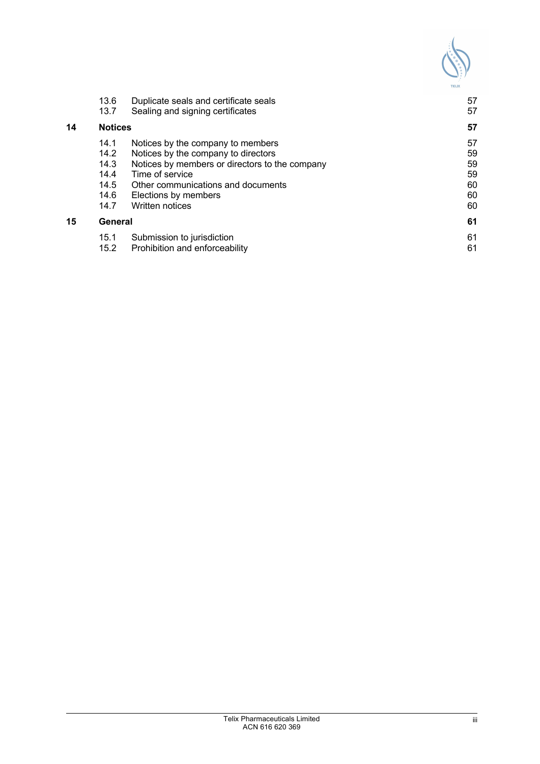| <b>TELIX</b> |
|--------------|

|    | 13.6<br>13.7   | Duplicate seals and certificate seals<br>Sealing and signing certificates | 57<br>57 |
|----|----------------|---------------------------------------------------------------------------|----------|
| 14 | <b>Notices</b> | 57                                                                        |          |
|    | 14.1           | Notices by the company to members                                         | 57       |
|    | 14.2           | Notices by the company to directors                                       | 59       |
|    | 14.3           | Notices by members or directors to the company                            | 59       |
|    | 14.4           | Time of service                                                           | 59       |
|    | 14.5           | Other communications and documents                                        | 60       |
|    | 14.6           | Elections by members                                                      | 60       |
|    | 14.7           | <b>Written notices</b>                                                    | 60       |
| 15 | General        |                                                                           | 61       |
|    | 15.1           | Submission to jurisdiction                                                | 61       |
|    | 15.2           | Prohibition and enforceability                                            | 61       |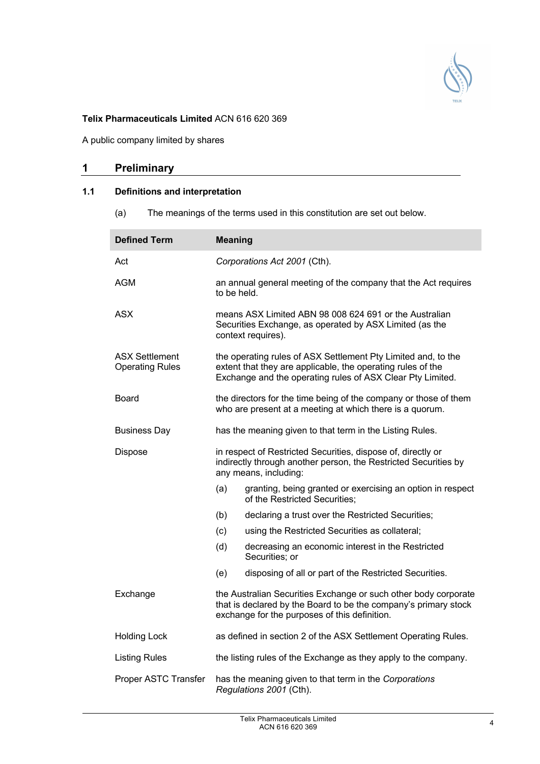

## **Telix Pharmaceuticals Limited** ACN 616 620 369

A public company limited by shares

## **1 Preliminary**

## **1.1 Definitions and interpretation**

(a) The meanings of the terms used in this constitution are set out below.

| <b>Defined Term</b>                             | <b>Meaning</b> |                                                                                                                                                                                            |
|-------------------------------------------------|----------------|--------------------------------------------------------------------------------------------------------------------------------------------------------------------------------------------|
| Act                                             |                | Corporations Act 2001 (Cth).                                                                                                                                                               |
| AGM                                             | to be held.    | an annual general meeting of the company that the Act requires                                                                                                                             |
| ASX                                             |                | means ASX Limited ABN 98 008 624 691 or the Australian<br>Securities Exchange, as operated by ASX Limited (as the<br>context requires).                                                    |
| <b>ASX Settlement</b><br><b>Operating Rules</b> |                | the operating rules of ASX Settlement Pty Limited and, to the<br>extent that they are applicable, the operating rules of the<br>Exchange and the operating rules of ASX Clear Pty Limited. |
| Board                                           |                | the directors for the time being of the company or those of them<br>who are present at a meeting at which there is a quorum.                                                               |
| <b>Business Day</b>                             |                | has the meaning given to that term in the Listing Rules.                                                                                                                                   |
| <b>Dispose</b>                                  |                | in respect of Restricted Securities, dispose of, directly or<br>indirectly through another person, the Restricted Securities by<br>any means, including:                                   |
|                                                 | (a)            | granting, being granted or exercising an option in respect<br>of the Restricted Securities:                                                                                                |
|                                                 | (b)            | declaring a trust over the Restricted Securities;                                                                                                                                          |
|                                                 | (c)            | using the Restricted Securities as collateral;                                                                                                                                             |
|                                                 | (d)            | decreasing an economic interest in the Restricted<br>Securities; or                                                                                                                        |
|                                                 | (e)            | disposing of all or part of the Restricted Securities.                                                                                                                                     |
| Exchange                                        |                | the Australian Securities Exchange or such other body corporate<br>that is declared by the Board to be the company's primary stock<br>exchange for the purposes of this definition.        |
| <b>Holding Lock</b>                             |                | as defined in section 2 of the ASX Settlement Operating Rules.                                                                                                                             |
| <b>Listing Rules</b>                            |                | the listing rules of the Exchange as they apply to the company.                                                                                                                            |
| Proper ASTC Transfer                            |                | has the meaning given to that term in the Corporations<br>Regulations 2001 (Cth).                                                                                                          |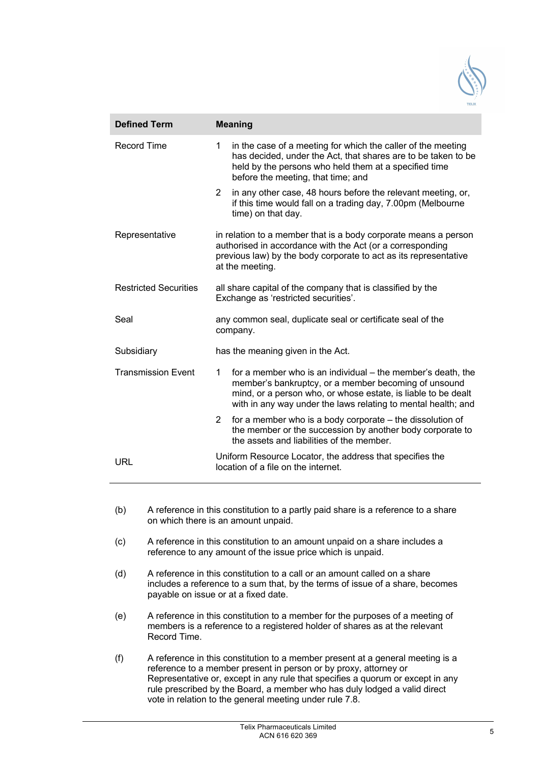

| <b>Defined Term</b>          | <b>Meaning</b>                                                                                                                                                                                                                                             |  |  |
|------------------------------|------------------------------------------------------------------------------------------------------------------------------------------------------------------------------------------------------------------------------------------------------------|--|--|
| <b>Record Time</b>           | 1<br>in the case of a meeting for which the caller of the meeting<br>has decided, under the Act, that shares are to be taken to be<br>held by the persons who held them at a specified time<br>before the meeting, that time; and                          |  |  |
|                              | $\overline{2}$<br>in any other case, 48 hours before the relevant meeting, or,<br>if this time would fall on a trading day, 7.00pm (Melbourne<br>time) on that day.                                                                                        |  |  |
| Representative               | in relation to a member that is a body corporate means a person<br>authorised in accordance with the Act (or a corresponding<br>previous law) by the body corporate to act as its representative<br>at the meeting.                                        |  |  |
| <b>Restricted Securities</b> | all share capital of the company that is classified by the<br>Exchange as 'restricted securities'.                                                                                                                                                         |  |  |
| Seal                         | any common seal, duplicate seal or certificate seal of the<br>company.                                                                                                                                                                                     |  |  |
| Subsidiary                   | has the meaning given in the Act.                                                                                                                                                                                                                          |  |  |
| <b>Transmission Event</b>    | for a member who is an individual – the member's death, the<br>1<br>member's bankruptcy, or a member becoming of unsound<br>mind, or a person who, or whose estate, is liable to be dealt<br>with in any way under the laws relating to mental health; and |  |  |
|                              | 2<br>for a member who is a body corporate – the dissolution of<br>the member or the succession by another body corporate to<br>the assets and liabilities of the member.                                                                                   |  |  |
| URL                          | Uniform Resource Locator, the address that specifies the<br>location of a file on the internet.                                                                                                                                                            |  |  |

- (b) A reference in this constitution to a partly paid share is a reference to a share on which there is an amount unpaid.
- (c) A reference in this constitution to an amount unpaid on a share includes a reference to any amount of the issue price which is unpaid.
- (d) A reference in this constitution to a call or an amount called on a share includes a reference to a sum that, by the terms of issue of a share, becomes payable on issue or at a fixed date.
- (e) A reference in this constitution to a member for the purposes of a meeting of members is a reference to a registered holder of shares as at the relevant Record Time.
- (f) A reference in this constitution to a member present at a general meeting is a reference to a member present in person or by proxy, attorney or Representative or, except in any rule that specifies a quorum or except in any rule prescribed by the Board, a member who has duly lodged a valid direct vote in relation to the general meeting under rule 7.8.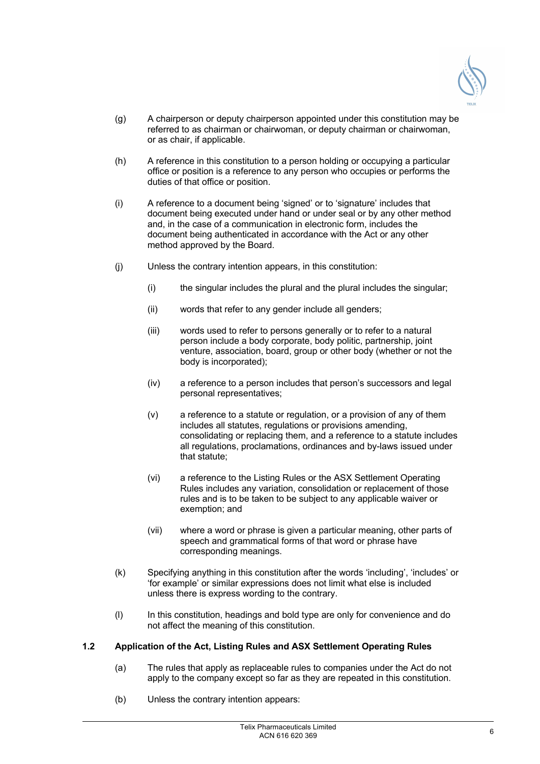

- (g) A chairperson or deputy chairperson appointed under this constitution may be referred to as chairman or chairwoman, or deputy chairman or chairwoman, or as chair, if applicable.
- (h) A reference in this constitution to a person holding or occupying a particular office or position is a reference to any person who occupies or performs the duties of that office or position.
- (i) A reference to a document being 'signed' or to 'signature' includes that document being executed under hand or under seal or by any other method and, in the case of a communication in electronic form, includes the document being authenticated in accordance with the Act or any other method approved by the Board.
- (j) Unless the contrary intention appears, in this constitution:
	- (i) the singular includes the plural and the plural includes the singular;
	- (ii) words that refer to any gender include all genders;
	- (iii) words used to refer to persons generally or to refer to a natural person include a body corporate, body politic, partnership, joint venture, association, board, group or other body (whether or not the body is incorporated);
	- (iv) a reference to a person includes that person's successors and legal personal representatives;
	- (v) a reference to a statute or regulation, or a provision of any of them includes all statutes, regulations or provisions amending, consolidating or replacing them, and a reference to a statute includes all regulations, proclamations, ordinances and by-laws issued under that statute;
	- (vi) a reference to the Listing Rules or the ASX Settlement Operating Rules includes any variation, consolidation or replacement of those rules and is to be taken to be subject to any applicable waiver or exemption; and
	- (vii) where a word or phrase is given a particular meaning, other parts of speech and grammatical forms of that word or phrase have corresponding meanings.
- (k) Specifying anything in this constitution after the words 'including', 'includes' or 'for example' or similar expressions does not limit what else is included unless there is express wording to the contrary.
- (l) In this constitution, headings and bold type are only for convenience and do not affect the meaning of this constitution.

## **1.2 Application of the Act, Listing Rules and ASX Settlement Operating Rules**

- (a) The rules that apply as replaceable rules to companies under the Act do not apply to the company except so far as they are repeated in this constitution.
- (b) Unless the contrary intention appears: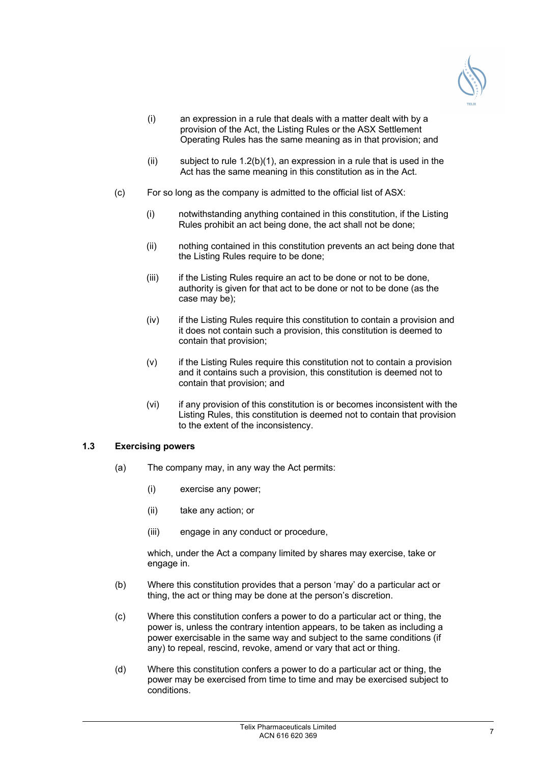

- (i) an expression in a rule that deals with a matter dealt with by a provision of the Act, the Listing Rules or the ASX Settlement Operating Rules has the same meaning as in that provision; and
- (ii) subject to rule  $1.2(b)(1)$ , an expression in a rule that is used in the Act has the same meaning in this constitution as in the Act.
- (c) For so long as the company is admitted to the official list of ASX:
	- (i) notwithstanding anything contained in this constitution, if the Listing Rules prohibit an act being done, the act shall not be done;
	- (ii) nothing contained in this constitution prevents an act being done that the Listing Rules require to be done;
	- (iii) if the Listing Rules require an act to be done or not to be done, authority is given for that act to be done or not to be done (as the case may be);
	- (iv) if the Listing Rules require this constitution to contain a provision and it does not contain such a provision, this constitution is deemed to contain that provision;
	- (v) if the Listing Rules require this constitution not to contain a provision and it contains such a provision, this constitution is deemed not to contain that provision; and
	- (vi) if any provision of this constitution is or becomes inconsistent with the Listing Rules, this constitution is deemed not to contain that provision to the extent of the inconsistency.

## **1.3 Exercising powers**

- (a) The company may, in any way the Act permits:
	- (i) exercise any power;
	- (ii) take any action; or
	- (iii) engage in any conduct or procedure,

which, under the Act a company limited by shares may exercise, take or engage in.

- (b) Where this constitution provides that a person 'may' do a particular act or thing, the act or thing may be done at the person's discretion.
- (c) Where this constitution confers a power to do a particular act or thing, the power is, unless the contrary intention appears, to be taken as including a power exercisable in the same way and subject to the same conditions (if any) to repeal, rescind, revoke, amend or vary that act or thing.
- (d) Where this constitution confers a power to do a particular act or thing, the power may be exercised from time to time and may be exercised subject to conditions.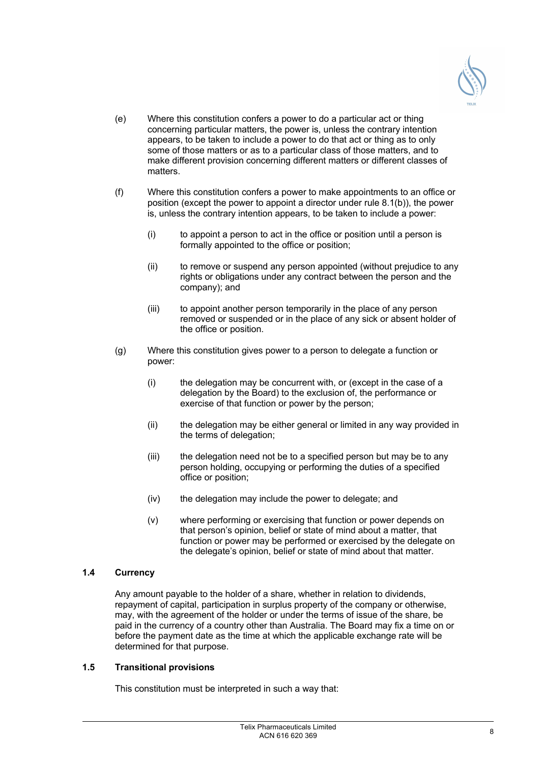

- (e) Where this constitution confers a power to do a particular act or thing concerning particular matters, the power is, unless the contrary intention appears, to be taken to include a power to do that act or thing as to only some of those matters or as to a particular class of those matters, and to make different provision concerning different matters or different classes of matters.
- (f) Where this constitution confers a power to make appointments to an office or position (except the power to appoint a director under rule 8.1(b)), the power is, unless the contrary intention appears, to be taken to include a power:
	- (i) to appoint a person to act in the office or position until a person is formally appointed to the office or position;
	- (ii) to remove or suspend any person appointed (without prejudice to any rights or obligations under any contract between the person and the company); and
	- (iii) to appoint another person temporarily in the place of any person removed or suspended or in the place of any sick or absent holder of the office or position.
- (g) Where this constitution gives power to a person to delegate a function or power:
	- (i) the delegation may be concurrent with, or (except in the case of a delegation by the Board) to the exclusion of, the performance or exercise of that function or power by the person;
	- (ii) the delegation may be either general or limited in any way provided in the terms of delegation;
	- (iii) the delegation need not be to a specified person but may be to any person holding, occupying or performing the duties of a specified office or position;
	- (iv) the delegation may include the power to delegate; and
	- (v) where performing or exercising that function or power depends on that person's opinion, belief or state of mind about a matter, that function or power may be performed or exercised by the delegate on the delegate's opinion, belief or state of mind about that matter.

## **1.4 Currency**

Any amount payable to the holder of a share, whether in relation to dividends, repayment of capital, participation in surplus property of the company or otherwise, may, with the agreement of the holder or under the terms of issue of the share, be paid in the currency of a country other than Australia. The Board may fix a time on or before the payment date as the time at which the applicable exchange rate will be determined for that purpose.

## **1.5 Transitional provisions**

This constitution must be interpreted in such a way that: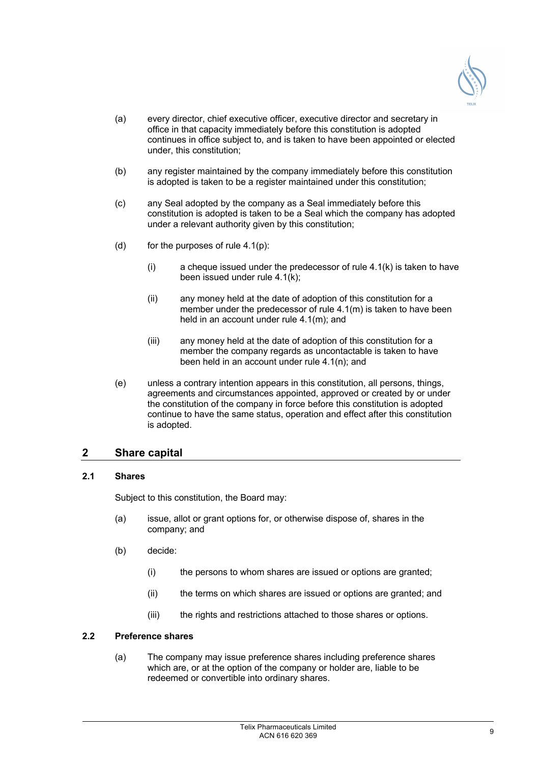

- (a) every director, chief executive officer, executive director and secretary in office in that capacity immediately before this constitution is adopted continues in office subject to, and is taken to have been appointed or elected under, this constitution;
- (b) any register maintained by the company immediately before this constitution is adopted is taken to be a register maintained under this constitution;
- (c) any Seal adopted by the company as a Seal immediately before this constitution is adopted is taken to be a Seal which the company has adopted under a relevant authority given by this constitution;
- (d) for the purposes of rule  $4.1(p)$ :
	- (i) a cheque issued under the predecessor of rule 4.1(k) is taken to have been issued under rule 4.1(k);
	- (ii) any money held at the date of adoption of this constitution for a member under the predecessor of rule 4.1(m) is taken to have been held in an account under rule 4.1(m); and
	- (iii) any money held at the date of adoption of this constitution for a member the company regards as uncontactable is taken to have been held in an account under rule 4.1(n); and
- (e) unless a contrary intention appears in this constitution, all persons, things, agreements and circumstances appointed, approved or created by or under the constitution of the company in force before this constitution is adopted continue to have the same status, operation and effect after this constitution is adopted.

## **2 Share capital**

## **2.1 Shares**

Subject to this constitution, the Board may:

- (a) issue, allot or grant options for, or otherwise dispose of, shares in the company; and
- (b) decide:
	- (i) the persons to whom shares are issued or options are granted;
	- (ii) the terms on which shares are issued or options are granted; and
	- (iii) the rights and restrictions attached to those shares or options.

## **2.2 Preference shares**

(a) The company may issue preference shares including preference shares which are, or at the option of the company or holder are, liable to be redeemed or convertible into ordinary shares.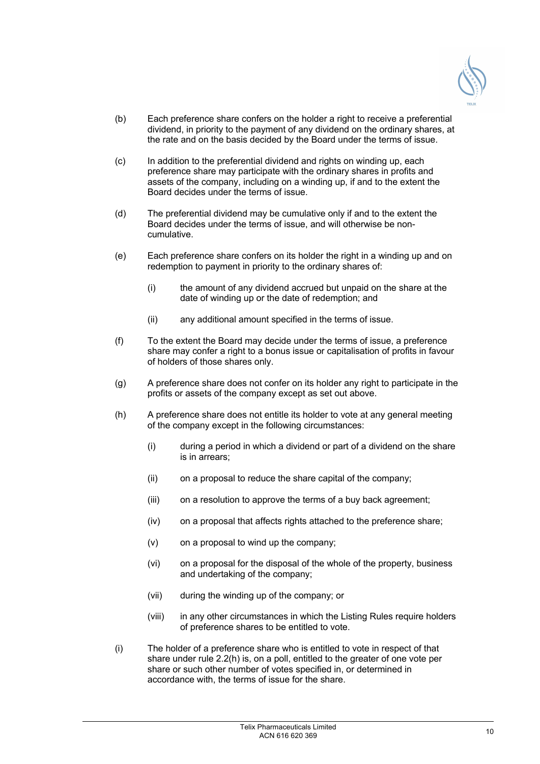

- (b) Each preference share confers on the holder a right to receive a preferential dividend, in priority to the payment of any dividend on the ordinary shares, at the rate and on the basis decided by the Board under the terms of issue.
- (c) In addition to the preferential dividend and rights on winding up, each preference share may participate with the ordinary shares in profits and assets of the company, including on a winding up, if and to the extent the Board decides under the terms of issue.
- (d) The preferential dividend may be cumulative only if and to the extent the Board decides under the terms of issue, and will otherwise be noncumulative.
- (e) Each preference share confers on its holder the right in a winding up and on redemption to payment in priority to the ordinary shares of:
	- (i) the amount of any dividend accrued but unpaid on the share at the date of winding up or the date of redemption; and
	- (ii) any additional amount specified in the terms of issue.
- (f) To the extent the Board may decide under the terms of issue, a preference share may confer a right to a bonus issue or capitalisation of profits in favour of holders of those shares only.
- (g) A preference share does not confer on its holder any right to participate in the profits or assets of the company except as set out above.
- (h) A preference share does not entitle its holder to vote at any general meeting of the company except in the following circumstances:
	- (i) during a period in which a dividend or part of a dividend on the share is in arrears;
	- (ii) on a proposal to reduce the share capital of the company;
	- (iii) on a resolution to approve the terms of a buy back agreement;
	- (iv) on a proposal that affects rights attached to the preference share;
	- (v) on a proposal to wind up the company;
	- (vi) on a proposal for the disposal of the whole of the property, business and undertaking of the company;
	- (vii) during the winding up of the company; or
	- (viii) in any other circumstances in which the Listing Rules require holders of preference shares to be entitled to vote.
- (i) The holder of a preference share who is entitled to vote in respect of that share under rule 2.2(h) is, on a poll, entitled to the greater of one vote per share or such other number of votes specified in, or determined in accordance with, the terms of issue for the share.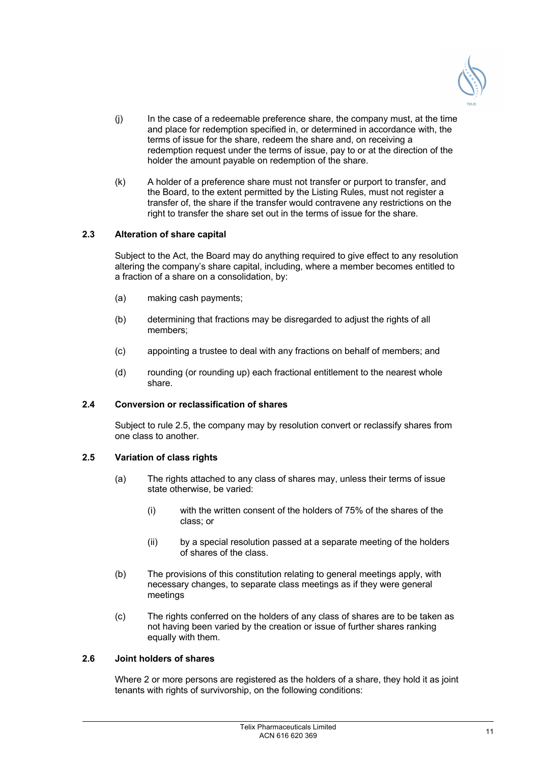

- (j) In the case of a redeemable preference share, the company must, at the time and place for redemption specified in, or determined in accordance with, the terms of issue for the share, redeem the share and, on receiving a redemption request under the terms of issue, pay to or at the direction of the holder the amount payable on redemption of the share.
- (k) A holder of a preference share must not transfer or purport to transfer, and the Board, to the extent permitted by the Listing Rules, must not register a transfer of, the share if the transfer would contravene any restrictions on the right to transfer the share set out in the terms of issue for the share.

## **2.3 Alteration of share capital**

Subject to the Act, the Board may do anything required to give effect to any resolution altering the company's share capital, including, where a member becomes entitled to a fraction of a share on a consolidation, by:

- (a) making cash payments;
- (b) determining that fractions may be disregarded to adjust the rights of all members;
- (c) appointing a trustee to deal with any fractions on behalf of members; and
- (d) rounding (or rounding up) each fractional entitlement to the nearest whole share.

## **2.4 Conversion or reclassification of shares**

Subject to rule 2.5, the company may by resolution convert or reclassify shares from one class to another.

## **2.5 Variation of class rights**

- (a) The rights attached to any class of shares may, unless their terms of issue state otherwise, be varied:
	- (i) with the written consent of the holders of 75% of the shares of the class; or
	- (ii) by a special resolution passed at a separate meeting of the holders of shares of the class.
- (b) The provisions of this constitution relating to general meetings apply, with necessary changes, to separate class meetings as if they were general meetings
- (c) The rights conferred on the holders of any class of shares are to be taken as not having been varied by the creation or issue of further shares ranking equally with them.

## **2.6 Joint holders of shares**

Where 2 or more persons are registered as the holders of a share, they hold it as joint tenants with rights of survivorship, on the following conditions: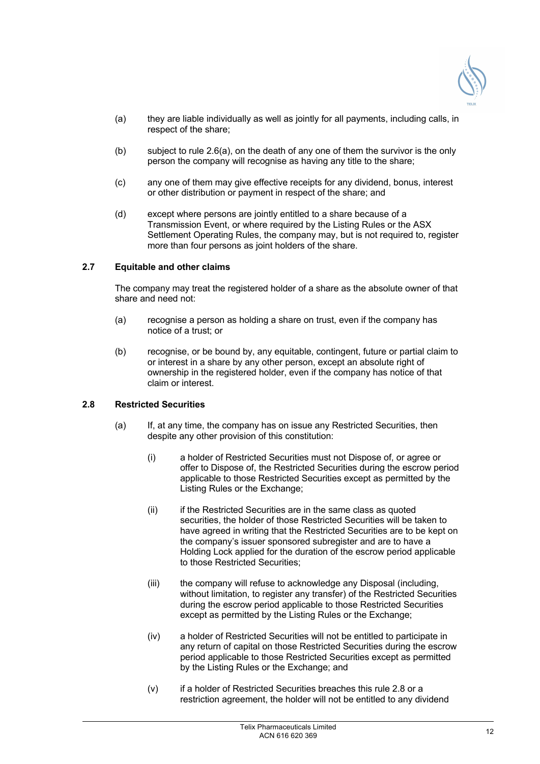

- (a) they are liable individually as well as jointly for all payments, including calls, in respect of the share;
- (b) subject to rule 2.6(a), on the death of any one of them the survivor is the only person the company will recognise as having any title to the share;
- (c) any one of them may give effective receipts for any dividend, bonus, interest or other distribution or payment in respect of the share; and
- (d) except where persons are jointly entitled to a share because of a Transmission Event, or where required by the Listing Rules or the ASX Settlement Operating Rules, the company may, but is not required to, register more than four persons as joint holders of the share.

## **2.7 Equitable and other claims**

The company may treat the registered holder of a share as the absolute owner of that share and need not:

- (a) recognise a person as holding a share on trust, even if the company has notice of a trust; or
- (b) recognise, or be bound by, any equitable, contingent, future or partial claim to or interest in a share by any other person, except an absolute right of ownership in the registered holder, even if the company has notice of that claim or interest.

## **2.8 Restricted Securities**

- (a) If, at any time, the company has on issue any Restricted Securities, then despite any other provision of this constitution:
	- (i) a holder of Restricted Securities must not Dispose of, or agree or offer to Dispose of, the Restricted Securities during the escrow period applicable to those Restricted Securities except as permitted by the Listing Rules or the Exchange;
	- (ii) if the Restricted Securities are in the same class as quoted securities, the holder of those Restricted Securities will be taken to have agreed in writing that the Restricted Securities are to be kept on the company's issuer sponsored subregister and are to have a Holding Lock applied for the duration of the escrow period applicable to those Restricted Securities:
	- (iii) the company will refuse to acknowledge any Disposal (including, without limitation, to register any transfer) of the Restricted Securities during the escrow period applicable to those Restricted Securities except as permitted by the Listing Rules or the Exchange;
	- (iv) a holder of Restricted Securities will not be entitled to participate in any return of capital on those Restricted Securities during the escrow period applicable to those Restricted Securities except as permitted by the Listing Rules or the Exchange; and
	- (v) if a holder of Restricted Securities breaches this rule 2.8 or a restriction agreement, the holder will not be entitled to any dividend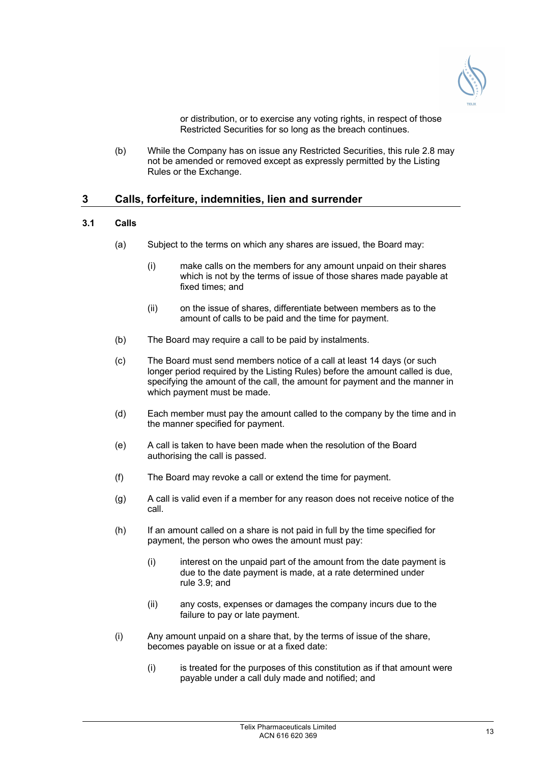

or distribution, or to exercise any voting rights, in respect of those Restricted Securities for so long as the breach continues.

(b) While the Company has on issue any Restricted Securities, this rule 2.8 may not be amended or removed except as expressly permitted by the Listing Rules or the Exchange.

## **3 Calls, forfeiture, indemnities, lien and surrender**

## **3.1 Calls**

- (a) Subject to the terms on which any shares are issued, the Board may:
	- (i) make calls on the members for any amount unpaid on their shares which is not by the terms of issue of those shares made payable at fixed times; and
	- (ii) on the issue of shares, differentiate between members as to the amount of calls to be paid and the time for payment.
- (b) The Board may require a call to be paid by instalments.
- (c) The Board must send members notice of a call at least 14 days (or such longer period required by the Listing Rules) before the amount called is due, specifying the amount of the call, the amount for payment and the manner in which payment must be made.
- (d) Each member must pay the amount called to the company by the time and in the manner specified for payment.
- (e) A call is taken to have been made when the resolution of the Board authorising the call is passed.
- (f) The Board may revoke a call or extend the time for payment.
- (g) A call is valid even if a member for any reason does not receive notice of the call.
- (h) If an amount called on a share is not paid in full by the time specified for payment, the person who owes the amount must pay:
	- (i) interest on the unpaid part of the amount from the date payment is due to the date payment is made, at a rate determined under rule 3.9; and
	- (ii) any costs, expenses or damages the company incurs due to the failure to pay or late payment.
- (i) Any amount unpaid on a share that, by the terms of issue of the share, becomes payable on issue or at a fixed date:
	- (i) is treated for the purposes of this constitution as if that amount were payable under a call duly made and notified; and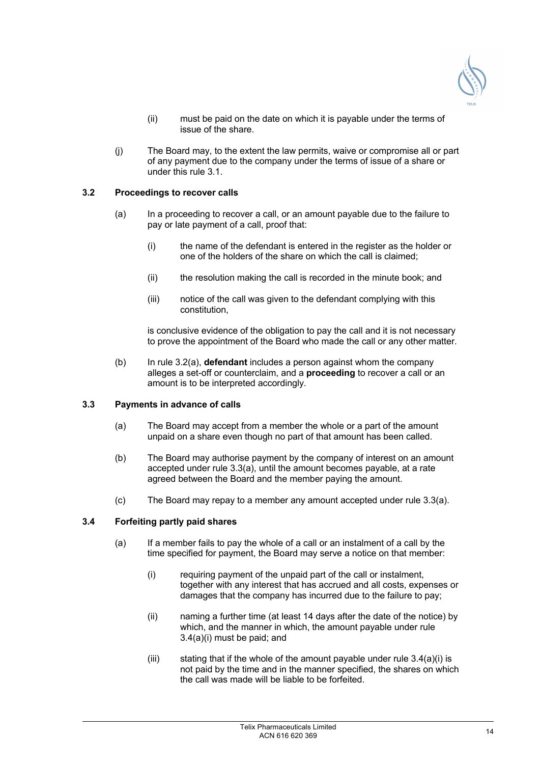

- (ii) must be paid on the date on which it is payable under the terms of issue of the share.
- (j) The Board may, to the extent the law permits, waive or compromise all or part of any payment due to the company under the terms of issue of a share or under this rule 3.1.

## **3.2 Proceedings to recover calls**

- (a) In a proceeding to recover a call, or an amount payable due to the failure to pay or late payment of a call, proof that:
	- (i) the name of the defendant is entered in the register as the holder or one of the holders of the share on which the call is claimed;
	- (ii) the resolution making the call is recorded in the minute book; and
	- (iii) notice of the call was given to the defendant complying with this constitution,

is conclusive evidence of the obligation to pay the call and it is not necessary to prove the appointment of the Board who made the call or any other matter.

(b) In rule 3.2(a), **defendant** includes a person against whom the company alleges a set-off or counterclaim, and a **proceeding** to recover a call or an amount is to be interpreted accordingly.

## **3.3 Payments in advance of calls**

- (a) The Board may accept from a member the whole or a part of the amount unpaid on a share even though no part of that amount has been called.
- (b) The Board may authorise payment by the company of interest on an amount accepted under rule 3.3(a), until the amount becomes payable, at a rate agreed between the Board and the member paying the amount.
- (c) The Board may repay to a member any amount accepted under rule 3.3(a).

## **3.4 Forfeiting partly paid shares**

- (a) If a member fails to pay the whole of a call or an instalment of a call by the time specified for payment, the Board may serve a notice on that member:
	- (i) requiring payment of the unpaid part of the call or instalment, together with any interest that has accrued and all costs, expenses or damages that the company has incurred due to the failure to pay;
	- (ii) naming a further time (at least 14 days after the date of the notice) by which, and the manner in which, the amount payable under rule 3.4(a)(i) must be paid; and
	- (iii) stating that if the whole of the amount payable under rule  $3.4(a)(i)$  is not paid by the time and in the manner specified, the shares on which the call was made will be liable to be forfeited.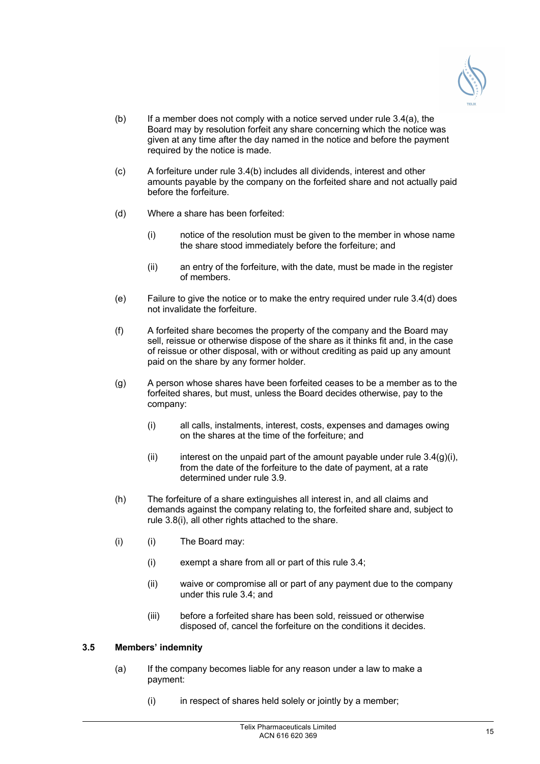

- (b) If a member does not comply with a notice served under rule  $3.4(a)$ , the Board may by resolution forfeit any share concerning which the notice was given at any time after the day named in the notice and before the payment required by the notice is made.
- (c) A forfeiture under rule 3.4(b) includes all dividends, interest and other amounts payable by the company on the forfeited share and not actually paid before the forfeiture.
- (d) Where a share has been forfeited:
	- (i) notice of the resolution must be given to the member in whose name the share stood immediately before the forfeiture; and
	- (ii) an entry of the forfeiture, with the date, must be made in the register of members.
- (e) Failure to give the notice or to make the entry required under rule 3.4(d) does not invalidate the forfeiture.
- (f) A forfeited share becomes the property of the company and the Board may sell, reissue or otherwise dispose of the share as it thinks fit and, in the case of reissue or other disposal, with or without crediting as paid up any amount paid on the share by any former holder.
- (g) A person whose shares have been forfeited ceases to be a member as to the forfeited shares, but must, unless the Board decides otherwise, pay to the company:
	- (i) all calls, instalments, interest, costs, expenses and damages owing on the shares at the time of the forfeiture; and
	- (ii) interest on the unpaid part of the amount payable under rule  $3.4(g)(i)$ , from the date of the forfeiture to the date of payment, at a rate determined under rule 3.9.
- (h) The forfeiture of a share extinguishes all interest in, and all claims and demands against the company relating to, the forfeited share and, subject to rule 3.8(i), all other rights attached to the share.
- (i) (i) The Board may:
	- (i) exempt a share from all or part of this rule 3.4;
	- (ii) waive or compromise all or part of any payment due to the company under this rule 3.4; and
	- (iii) before a forfeited share has been sold, reissued or otherwise disposed of, cancel the forfeiture on the conditions it decides.

## **3.5 Members' indemnity**

- (a) If the company becomes liable for any reason under a law to make a payment:
	- (i) in respect of shares held solely or jointly by a member;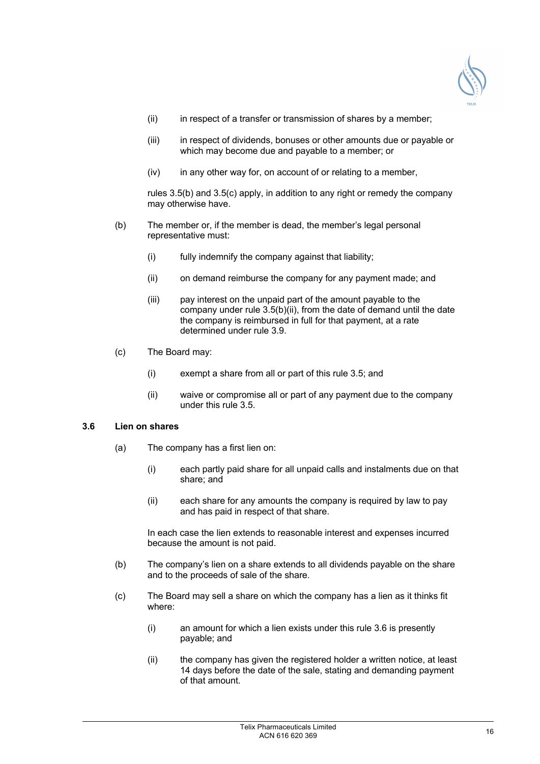

- (ii) in respect of a transfer or transmission of shares by a member;
- (iii) in respect of dividends, bonuses or other amounts due or payable or which may become due and payable to a member; or
- (iv) in any other way for, on account of or relating to a member,

rules 3.5(b) and 3.5(c) apply, in addition to any right or remedy the company may otherwise have.

- (b) The member or, if the member is dead, the member's legal personal representative must:
	- (i) fully indemnify the company against that liability;
	- (ii) on demand reimburse the company for any payment made; and
	- (iii) pay interest on the unpaid part of the amount payable to the company under rule 3.5(b)(ii), from the date of demand until the date the company is reimbursed in full for that payment, at a rate determined under rule 3.9.
- (c) The Board may:
	- (i) exempt a share from all or part of this rule 3.5; and
	- (ii) waive or compromise all or part of any payment due to the company under this rule 3.5.

## **3.6 Lien on shares**

- (a) The company has a first lien on:
	- (i) each partly paid share for all unpaid calls and instalments due on that share; and
	- (ii) each share for any amounts the company is required by law to pay and has paid in respect of that share.

In each case the lien extends to reasonable interest and expenses incurred because the amount is not paid.

- (b) The company's lien on a share extends to all dividends payable on the share and to the proceeds of sale of the share.
- (c) The Board may sell a share on which the company has a lien as it thinks fit where:
	- (i) an amount for which a lien exists under this rule 3.6 is presently payable; and
	- (ii) the company has given the registered holder a written notice, at least 14 days before the date of the sale, stating and demanding payment of that amount.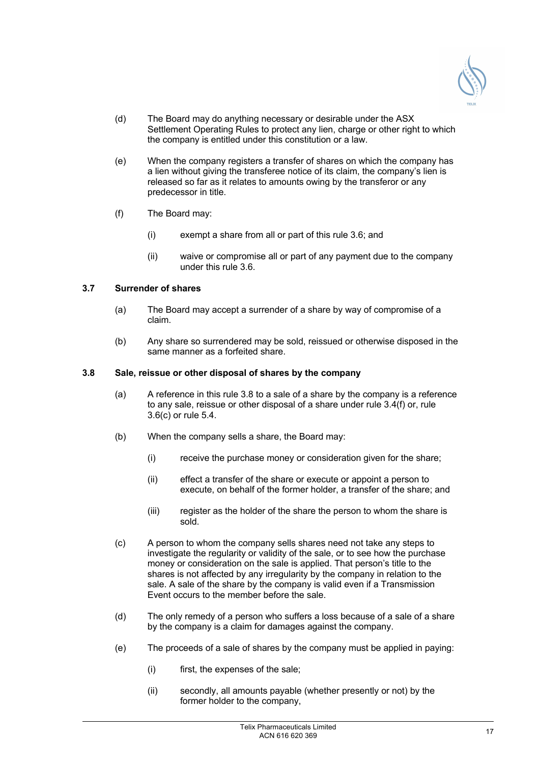

- (d) The Board may do anything necessary or desirable under the ASX Settlement Operating Rules to protect any lien, charge or other right to which the company is entitled under this constitution or a law.
- (e) When the company registers a transfer of shares on which the company has a lien without giving the transferee notice of its claim, the company's lien is released so far as it relates to amounts owing by the transferor or any predecessor in title.
- (f) The Board may:
	- (i) exempt a share from all or part of this rule 3.6; and
	- (ii) waive or compromise all or part of any payment due to the company under this rule 3.6.

## **3.7 Surrender of shares**

- (a) The Board may accept a surrender of a share by way of compromise of a claim.
- (b) Any share so surrendered may be sold, reissued or otherwise disposed in the same manner as a forfeited share.

#### **3.8 Sale, reissue or other disposal of shares by the company**

- (a) A reference in this rule 3.8 to a sale of a share by the company is a reference to any sale, reissue or other disposal of a share under rule 3.4(f) or, rule 3.6(c) or rule 5.4.
- (b) When the company sells a share, the Board may:
	- (i) receive the purchase money or consideration given for the share;
	- (ii) effect a transfer of the share or execute or appoint a person to execute, on behalf of the former holder, a transfer of the share; and
	- (iii) register as the holder of the share the person to whom the share is sold.
- (c) A person to whom the company sells shares need not take any steps to investigate the regularity or validity of the sale, or to see how the purchase money or consideration on the sale is applied. That person's title to the shares is not affected by any irregularity by the company in relation to the sale. A sale of the share by the company is valid even if a Transmission Event occurs to the member before the sale.
- (d) The only remedy of a person who suffers a loss because of a sale of a share by the company is a claim for damages against the company.
- (e) The proceeds of a sale of shares by the company must be applied in paying:
	- (i) first, the expenses of the sale;
	- (ii) secondly, all amounts payable (whether presently or not) by the former holder to the company,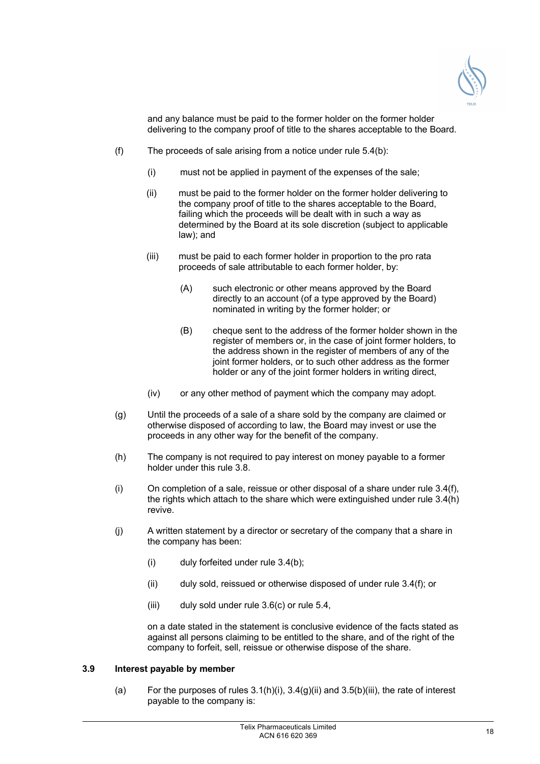

and any balance must be paid to the former holder on the former holder delivering to the company proof of title to the shares acceptable to the Board.

- $(f)$  The proceeds of sale arising from a notice under rule 5.4(b):
	- (i) must not be applied in payment of the expenses of the sale;
	- (ii) must be paid to the former holder on the former holder delivering to the company proof of title to the shares acceptable to the Board, failing which the proceeds will be dealt with in such a way as determined by the Board at its sole discretion (subject to applicable law); and
	- (iii) must be paid to each former holder in proportion to the pro rata proceeds of sale attributable to each former holder, by:
		- (A) such electronic or other means approved by the Board directly to an account (of a type approved by the Board) nominated in writing by the former holder; or
		- (B) cheque sent to the address of the former holder shown in the register of members or, in the case of joint former holders, to the address shown in the register of members of any of the joint former holders, or to such other address as the former holder or any of the joint former holders in writing direct,
	- (iv) or any other method of payment which the company may adopt.
- (g) Until the proceeds of a sale of a share sold by the company are claimed or otherwise disposed of according to law, the Board may invest or use the proceeds in any other way for the benefit of the company.
- (h) The company is not required to pay interest on money payable to a former holder under this rule 3.8.
- (i) On completion of a sale, reissue or other disposal of a share under rule 3.4(f), the rights which attach to the share which were extinguished under rule 3.4(h) revive.
- (j) A written statement by a director or secretary of the company that a share in the company has been:
	- $(i)$  duly forfeited under rule  $3.4(b)$ ;
	- (ii) duly sold, reissued or otherwise disposed of under rule 3.4(f); or
	- (iii) duly sold under rule 3.6(c) or rule 5.4,

on a date stated in the statement is conclusive evidence of the facts stated as against all persons claiming to be entitled to the share, and of the right of the company to forfeit, sell, reissue or otherwise dispose of the share.

## **3.9 Interest payable by member**

(a) For the purposes of rules  $3.1(h)(i)$ ,  $3.4(g)(ii)$  and  $3.5(b)(iii)$ , the rate of interest payable to the company is: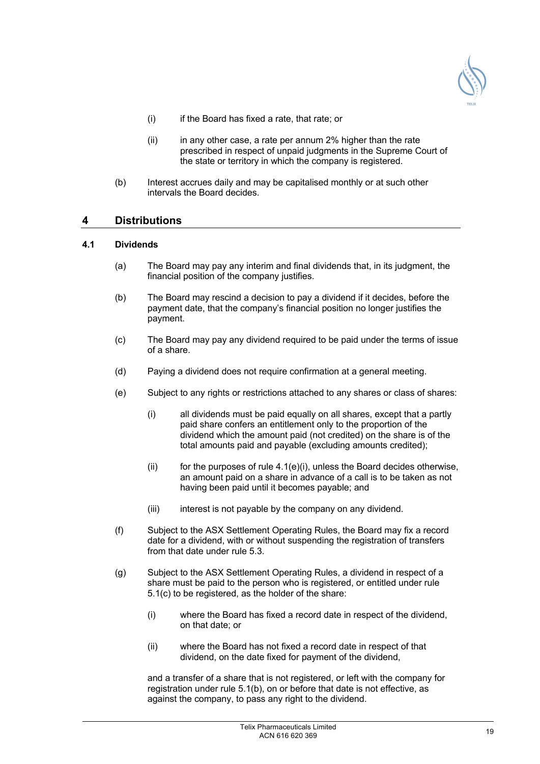

- (i) if the Board has fixed a rate, that rate; or
- $(ii)$  in any other case, a rate per annum 2% higher than the rate prescribed in respect of unpaid judgments in the Supreme Court of the state or territory in which the company is registered.
- (b) Interest accrues daily and may be capitalised monthly or at such other intervals the Board decides.

## **4 Distributions**

## **4.1 Dividends**

- (a) The Board may pay any interim and final dividends that, in its judgment, the financial position of the company justifies.
- (b) The Board may rescind a decision to pay a dividend if it decides, before the payment date, that the company's financial position no longer justifies the payment.
- (c) The Board may pay any dividend required to be paid under the terms of issue of a share.
- (d) Paying a dividend does not require confirmation at a general meeting.
- (e) Subject to any rights or restrictions attached to any shares or class of shares:
	- (i) all dividends must be paid equally on all shares, except that a partly paid share confers an entitlement only to the proportion of the dividend which the amount paid (not credited) on the share is of the total amounts paid and payable (excluding amounts credited);
	- (ii) for the purposes of rule  $4.1(e)(i)$ , unless the Board decides otherwise, an amount paid on a share in advance of a call is to be taken as not having been paid until it becomes payable; and
	- (iii) interest is not payable by the company on any dividend.
- (f) Subject to the ASX Settlement Operating Rules, the Board may fix a record date for a dividend, with or without suspending the registration of transfers from that date under rule 5.3.
- (g) Subject to the ASX Settlement Operating Rules, a dividend in respect of a share must be paid to the person who is registered, or entitled under rule 5.1(c) to be registered, as the holder of the share:
	- (i) where the Board has fixed a record date in respect of the dividend, on that date; or
	- (ii) where the Board has not fixed a record date in respect of that dividend, on the date fixed for payment of the dividend,

and a transfer of a share that is not registered, or left with the company for registration under rule 5.1(b), on or before that date is not effective, as against the company, to pass any right to the dividend.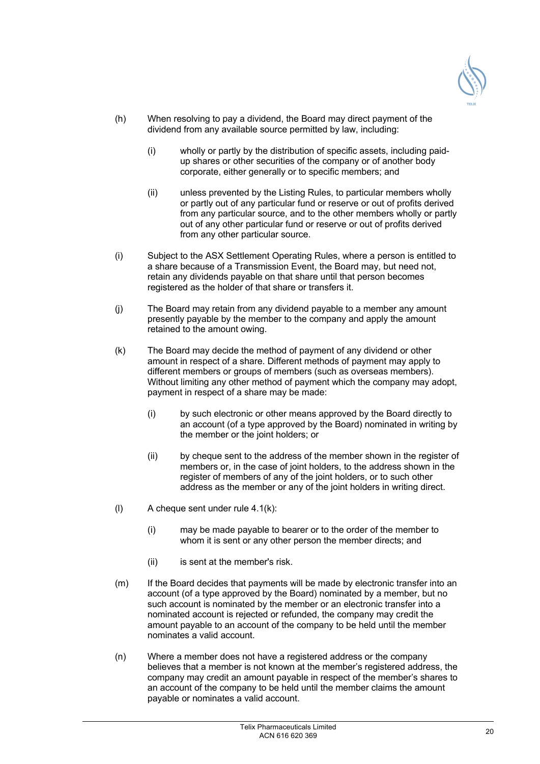

- (h) When resolving to pay a dividend, the Board may direct payment of the dividend from any available source permitted by law, including:
	- (i) wholly or partly by the distribution of specific assets, including paidup shares or other securities of the company or of another body corporate, either generally or to specific members; and
	- (ii) unless prevented by the Listing Rules, to particular members wholly or partly out of any particular fund or reserve or out of profits derived from any particular source, and to the other members wholly or partly out of any other particular fund or reserve or out of profits derived from any other particular source.
- (i) Subject to the ASX Settlement Operating Rules, where a person is entitled to a share because of a Transmission Event, the Board may, but need not, retain any dividends payable on that share until that person becomes registered as the holder of that share or transfers it.
- (j) The Board may retain from any dividend payable to a member any amount presently payable by the member to the company and apply the amount retained to the amount owing.
- (k) The Board may decide the method of payment of any dividend or other amount in respect of a share. Different methods of payment may apply to different members or groups of members (such as overseas members). Without limiting any other method of payment which the company may adopt, payment in respect of a share may be made:
	- (i) by such electronic or other means approved by the Board directly to an account (of a type approved by the Board) nominated in writing by the member or the joint holders; or
	- (ii) by cheque sent to the address of the member shown in the register of members or, in the case of joint holders, to the address shown in the register of members of any of the joint holders, or to such other address as the member or any of the joint holders in writing direct.
- (l) A cheque sent under rule 4.1(k):
	- (i) may be made payable to bearer or to the order of the member to whom it is sent or any other person the member directs; and
	- (ii) is sent at the member's risk.
- (m) If the Board decides that payments will be made by electronic transfer into an account (of a type approved by the Board) nominated by a member, but no such account is nominated by the member or an electronic transfer into a nominated account is rejected or refunded, the company may credit the amount payable to an account of the company to be held until the member nominates a valid account.
- (n) Where a member does not have a registered address or the company believes that a member is not known at the member's registered address, the company may credit an amount payable in respect of the member's shares to an account of the company to be held until the member claims the amount payable or nominates a valid account.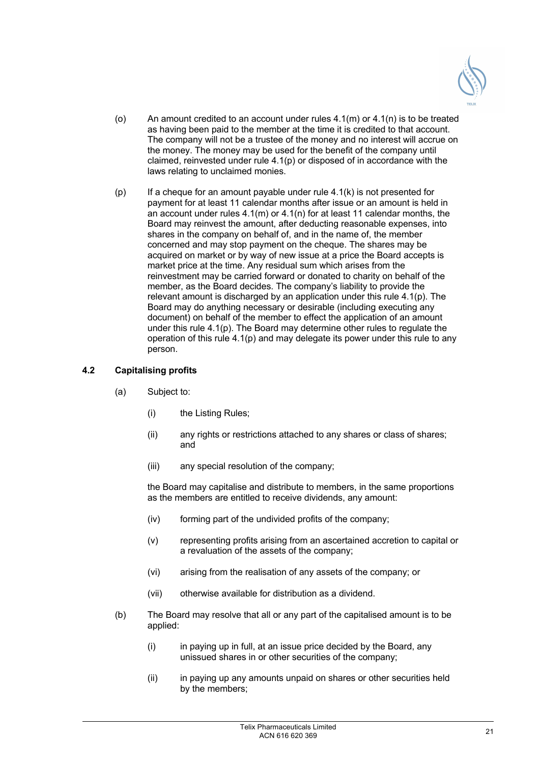

- (o) An amount credited to an account under rules  $4.1(m)$  or  $4.1(n)$  is to be treated as having been paid to the member at the time it is credited to that account. The company will not be a trustee of the money and no interest will accrue on the money. The money may be used for the benefit of the company until claimed, reinvested under rule  $4.1(p)$  or disposed of in accordance with the laws relating to unclaimed monies.
- $(p)$  If a cheque for an amount payable under rule 4.1(k) is not presented for payment for at least 11 calendar months after issue or an amount is held in an account under rules 4.1(m) or 4.1(n) for at least 11 calendar months, the Board may reinvest the amount, after deducting reasonable expenses, into shares in the company on behalf of, and in the name of, the member concerned and may stop payment on the cheque. The shares may be acquired on market or by way of new issue at a price the Board accepts is market price at the time. Any residual sum which arises from the reinvestment may be carried forward or donated to charity on behalf of the member, as the Board decides. The company's liability to provide the relevant amount is discharged by an application under this rule 4.1(p). The Board may do anything necessary or desirable (including executing any document) on behalf of the member to effect the application of an amount under this rule 4.1(p). The Board may determine other rules to regulate the operation of this rule 4.1(p) and may delegate its power under this rule to any person.

## **4.2 Capitalising profits**

- (a) Subject to:
	- (i) the Listing Rules;
	- (ii) any rights or restrictions attached to any shares or class of shares; and
	- (iii) any special resolution of the company;

the Board may capitalise and distribute to members, in the same proportions as the members are entitled to receive dividends, any amount:

- (iv) forming part of the undivided profits of the company;
- (v) representing profits arising from an ascertained accretion to capital or a revaluation of the assets of the company;
- (vi) arising from the realisation of any assets of the company; or
- (vii) otherwise available for distribution as a dividend.
- (b) The Board may resolve that all or any part of the capitalised amount is to be applied:
	- (i) in paying up in full, at an issue price decided by the Board, any unissued shares in or other securities of the company;
	- (ii) in paying up any amounts unpaid on shares or other securities held by the members;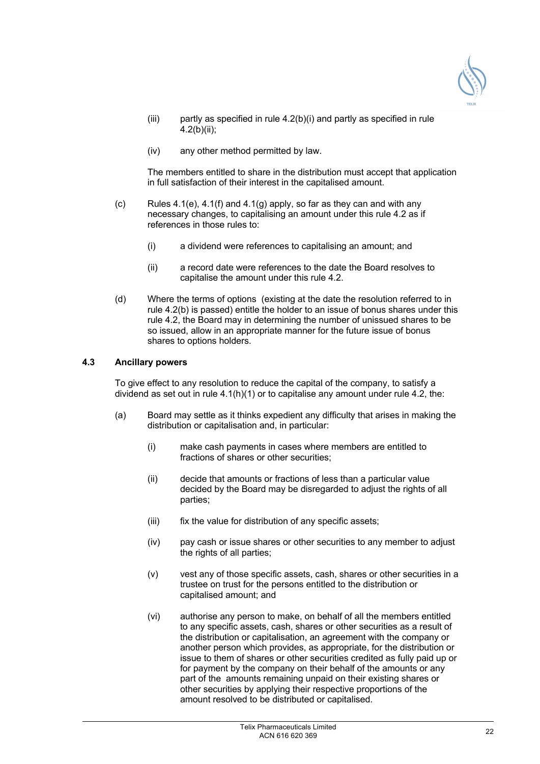

- (iii) partly as specified in rule 4.2(b)(i) and partly as specified in rule 4.2(b)(ii);
- (iv) any other method permitted by law.

The members entitled to share in the distribution must accept that application in full satisfaction of their interest in the capitalised amount.

- (c) Rules  $4.1(e)$ ,  $4.1(f)$  and  $4.1(g)$  apply, so far as they can and with any necessary changes, to capitalising an amount under this rule 4.2 as if references in those rules to:
	- (i) a dividend were references to capitalising an amount; and
	- (ii) a record date were references to the date the Board resolves to capitalise the amount under this rule 4.2.
- (d) Where the terms of options (existing at the date the resolution referred to in rule 4.2(b) is passed) entitle the holder to an issue of bonus shares under this rule 4.2, the Board may in determining the number of unissued shares to be so issued, allow in an appropriate manner for the future issue of bonus shares to options holders.

## **4.3 Ancillary powers**

To give effect to any resolution to reduce the capital of the company, to satisfy a dividend as set out in rule 4.1(h)(1) or to capitalise any amount under rule 4.2, the:

- (a) Board may settle as it thinks expedient any difficulty that arises in making the distribution or capitalisation and, in particular:
	- (i) make cash payments in cases where members are entitled to fractions of shares or other securities;
	- (ii) decide that amounts or fractions of less than a particular value decided by the Board may be disregarded to adjust the rights of all parties;
	- (iii) fix the value for distribution of any specific assets;
	- (iv) pay cash or issue shares or other securities to any member to adjust the rights of all parties;
	- (v) vest any of those specific assets, cash, shares or other securities in a trustee on trust for the persons entitled to the distribution or capitalised amount; and
	- (vi) authorise any person to make, on behalf of all the members entitled to any specific assets, cash, shares or other securities as a result of the distribution or capitalisation, an agreement with the company or another person which provides, as appropriate, for the distribution or issue to them of shares or other securities credited as fully paid up or for payment by the company on their behalf of the amounts or any part of the amounts remaining unpaid on their existing shares or other securities by applying their respective proportions of the amount resolved to be distributed or capitalised.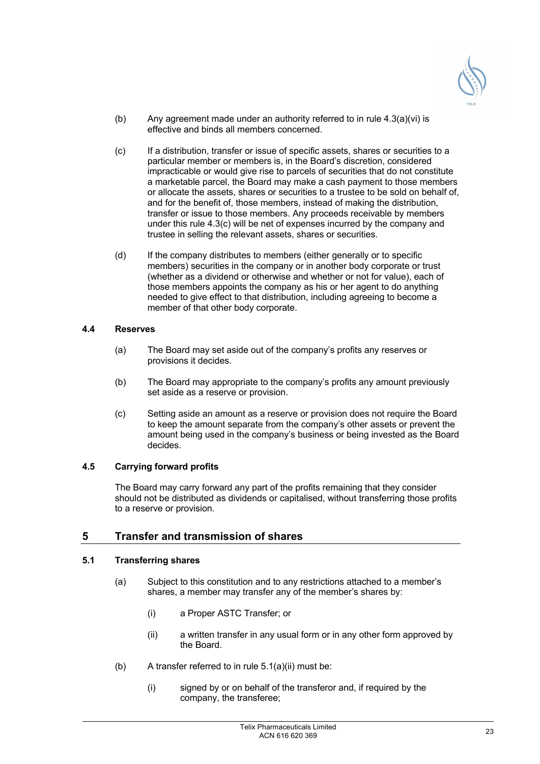

- (b) Any agreement made under an authority referred to in rule  $4.3(a)(vi)$  is effective and binds all members concerned.
- (c) If a distribution, transfer or issue of specific assets, shares or securities to a particular member or members is, in the Board's discretion, considered impracticable or would give rise to parcels of securities that do not constitute a marketable parcel, the Board may make a cash payment to those members or allocate the assets, shares or securities to a trustee to be sold on behalf of, and for the benefit of, those members, instead of making the distribution, transfer or issue to those members. Any proceeds receivable by members under this rule 4.3(c) will be net of expenses incurred by the company and trustee in selling the relevant assets, shares or securities.
- (d) If the company distributes to members (either generally or to specific members) securities in the company or in another body corporate or trust (whether as a dividend or otherwise and whether or not for value), each of those members appoints the company as his or her agent to do anything needed to give effect to that distribution, including agreeing to become a member of that other body corporate.

## **4.4 Reserves**

- (a) The Board may set aside out of the company's profits any reserves or provisions it decides.
- (b) The Board may appropriate to the company's profits any amount previously set aside as a reserve or provision.
- (c) Setting aside an amount as a reserve or provision does not require the Board to keep the amount separate from the company's other assets or prevent the amount being used in the company's business or being invested as the Board decides.

## **4.5 Carrying forward profits**

The Board may carry forward any part of the profits remaining that they consider should not be distributed as dividends or capitalised, without transferring those profits to a reserve or provision.

## **5 Transfer and transmission of shares**

## **5.1 Transferring shares**

- (a) Subject to this constitution and to any restrictions attached to a member's shares, a member may transfer any of the member's shares by:
	- (i) a Proper ASTC Transfer; or
	- (ii) a written transfer in any usual form or in any other form approved by the Board.
- (b) A transfer referred to in rule 5.1(a)(ii) must be:
	- (i) signed by or on behalf of the transferor and, if required by the company, the transferee;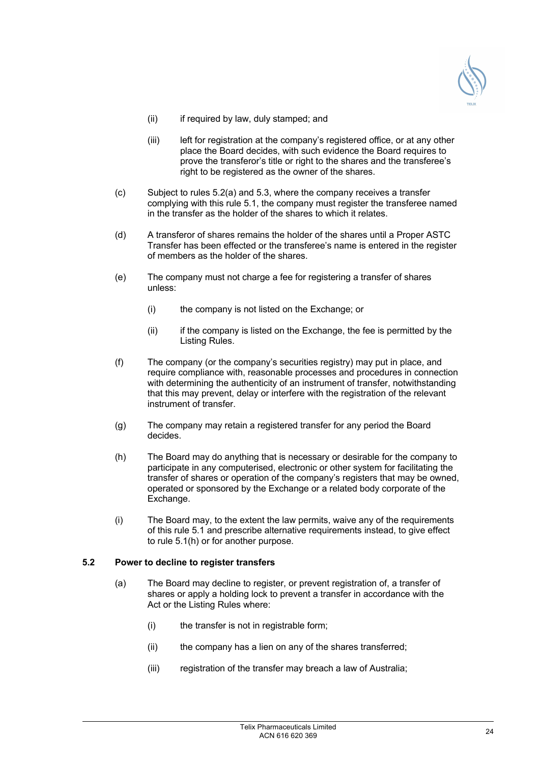

- (ii) if required by law, duly stamped; and
- (iii) left for registration at the company's registered office, or at any other place the Board decides, with such evidence the Board requires to prove the transferor's title or right to the shares and the transferee's right to be registered as the owner of the shares.
- (c) Subject to rules 5.2(a) and 5.3, where the company receives a transfer complying with this rule 5.1, the company must register the transferee named in the transfer as the holder of the shares to which it relates.
- (d) A transferor of shares remains the holder of the shares until a Proper ASTC Transfer has been effected or the transferee's name is entered in the register of members as the holder of the shares.
- (e) The company must not charge a fee for registering a transfer of shares unless:
	- (i) the company is not listed on the Exchange; or
	- (ii) if the company is listed on the Exchange, the fee is permitted by the Listing Rules.
- (f) The company (or the company's securities registry) may put in place, and require compliance with, reasonable processes and procedures in connection with determining the authenticity of an instrument of transfer, notwithstanding that this may prevent, delay or interfere with the registration of the relevant instrument of transfer.
- (g) The company may retain a registered transfer for any period the Board decides.
- (h) The Board may do anything that is necessary or desirable for the company to participate in any computerised, electronic or other system for facilitating the transfer of shares or operation of the company's registers that may be owned, operated or sponsored by the Exchange or a related body corporate of the Exchange.
- (i) The Board may, to the extent the law permits, waive any of the requirements of this rule 5.1 and prescribe alternative requirements instead, to give effect to rule 5.1(h) or for another purpose.

## **5.2 Power to decline to register transfers**

- (a) The Board may decline to register, or prevent registration of, a transfer of shares or apply a holding lock to prevent a transfer in accordance with the Act or the Listing Rules where:
	- (i) the transfer is not in registrable form;
	- (ii) the company has a lien on any of the shares transferred;
	- (iii) registration of the transfer may breach a law of Australia;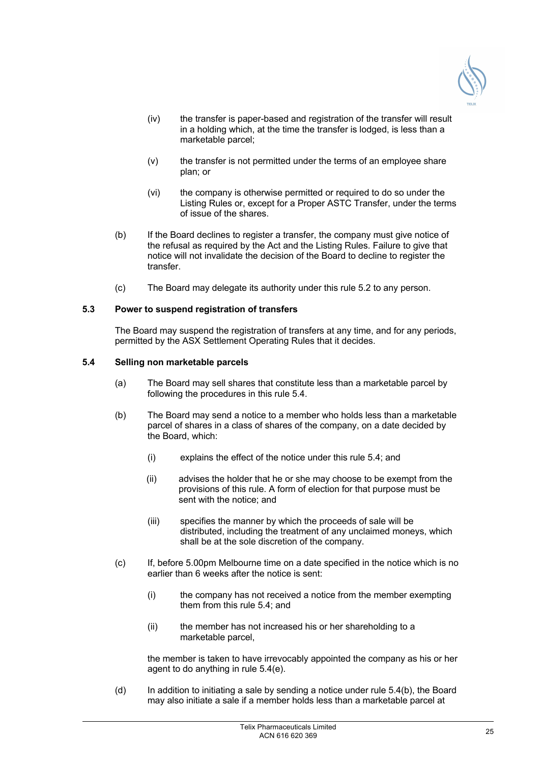

- (iv) the transfer is paper-based and registration of the transfer will result in a holding which, at the time the transfer is lodged, is less than a marketable parcel;
- (v) the transfer is not permitted under the terms of an employee share plan; or
- (vi) the company is otherwise permitted or required to do so under the Listing Rules or, except for a Proper ASTC Transfer, under the terms of issue of the shares.
- (b) If the Board declines to register a transfer, the company must give notice of the refusal as required by the Act and the Listing Rules. Failure to give that notice will not invalidate the decision of the Board to decline to register the transfer.
- (c) The Board may delegate its authority under this rule 5.2 to any person.

#### **5.3 Power to suspend registration of transfers**

The Board may suspend the registration of transfers at any time, and for any periods, permitted by the ASX Settlement Operating Rules that it decides.

#### **5.4 Selling non marketable parcels**

- (a) The Board may sell shares that constitute less than a marketable parcel by following the procedures in this rule 5.4.
- (b) The Board may send a notice to a member who holds less than a marketable parcel of shares in a class of shares of the company, on a date decided by the Board, which:
	- (i) explains the effect of the notice under this rule 5.4; and
	- (ii) advises the holder that he or she may choose to be exempt from the provisions of this rule. A form of election for that purpose must be sent with the notice; and
	- (iii) specifies the manner by which the proceeds of sale will be distributed, including the treatment of any unclaimed moneys, which shall be at the sole discretion of the company.
- (c) If, before 5.00pm Melbourne time on a date specified in the notice which is no earlier than 6 weeks after the notice is sent:
	- (i) the company has not received a notice from the member exempting them from this rule 5.4; and
	- (ii) the member has not increased his or her shareholding to a marketable parcel,

the member is taken to have irrevocably appointed the company as his or her agent to do anything in rule 5.4(e).

(d) In addition to initiating a sale by sending a notice under rule 5.4(b), the Board may also initiate a sale if a member holds less than a marketable parcel at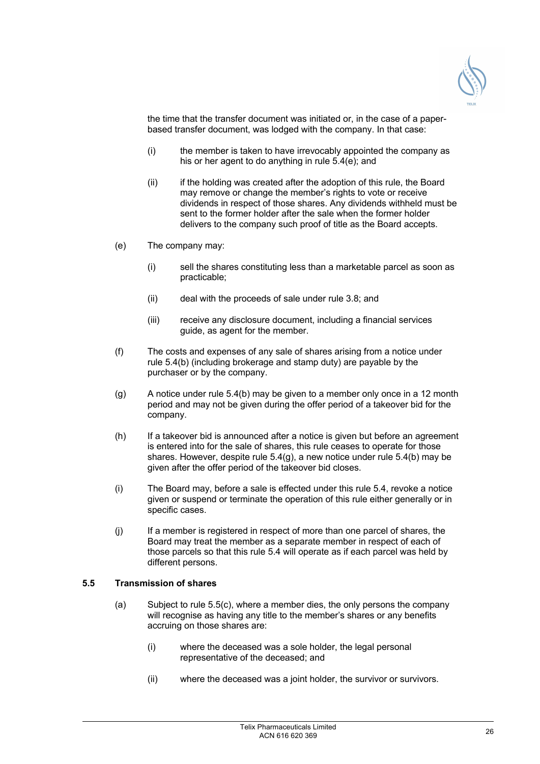

the time that the transfer document was initiated or, in the case of a paperbased transfer document, was lodged with the company. In that case:

- (i) the member is taken to have irrevocably appointed the company as his or her agent to do anything in rule 5.4(e); and
- (ii) if the holding was created after the adoption of this rule, the Board may remove or change the member's rights to vote or receive dividends in respect of those shares. Any dividends withheld must be sent to the former holder after the sale when the former holder delivers to the company such proof of title as the Board accepts.
- (e) The company may:
	- (i) sell the shares constituting less than a marketable parcel as soon as practicable;
	- (ii) deal with the proceeds of sale under rule 3.8; and
	- (iii) receive any disclosure document, including a financial services guide, as agent for the member.
- (f) The costs and expenses of any sale of shares arising from a notice under rule 5.4(b) (including brokerage and stamp duty) are payable by the purchaser or by the company.
- $(q)$  A notice under rule 5.4(b) may be given to a member only once in a 12 month period and may not be given during the offer period of a takeover bid for the company.
- (h) If a takeover bid is announced after a notice is given but before an agreement is entered into for the sale of shares, this rule ceases to operate for those shares. However, despite rule 5.4(g), a new notice under rule 5.4(b) may be given after the offer period of the takeover bid closes.
- (i) The Board may, before a sale is effected under this rule 5.4, revoke a notice given or suspend or terminate the operation of this rule either generally or in specific cases.
- (j) If a member is registered in respect of more than one parcel of shares, the Board may treat the member as a separate member in respect of each of those parcels so that this rule 5.4 will operate as if each parcel was held by different persons.

## **5.5 Transmission of shares**

- (a) Subject to rule 5.5(c), where a member dies, the only persons the company will recognise as having any title to the member's shares or any benefits accruing on those shares are:
	- (i) where the deceased was a sole holder, the legal personal representative of the deceased; and
	- (ii) where the deceased was a joint holder, the survivor or survivors.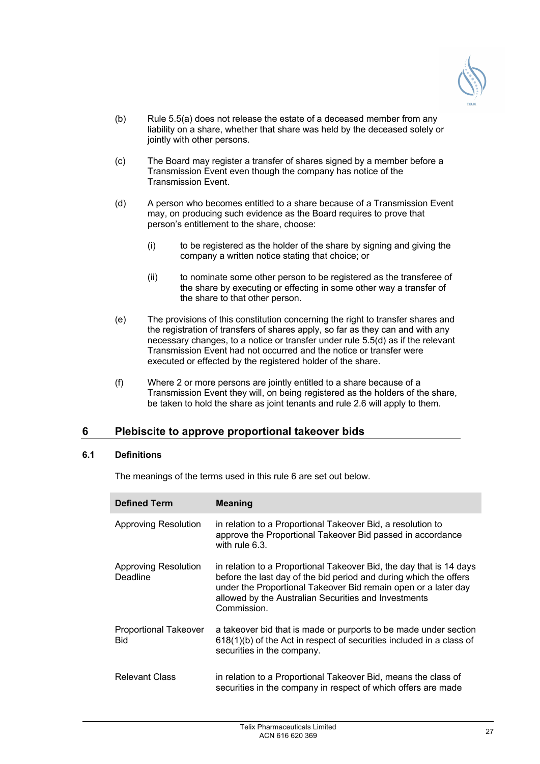

- (b) Rule 5.5(a) does not release the estate of a deceased member from any liability on a share, whether that share was held by the deceased solely or jointly with other persons.
- (c) The Board may register a transfer of shares signed by a member before a Transmission Event even though the company has notice of the Transmission Event.
- (d) A person who becomes entitled to a share because of a Transmission Event may, on producing such evidence as the Board requires to prove that person's entitlement to the share, choose:
	- (i) to be registered as the holder of the share by signing and giving the company a written notice stating that choice; or
	- (ii) to nominate some other person to be registered as the transferee of the share by executing or effecting in some other way a transfer of the share to that other person.
- (e) The provisions of this constitution concerning the right to transfer shares and the registration of transfers of shares apply, so far as they can and with any necessary changes, to a notice or transfer under rule 5.5(d) as if the relevant Transmission Event had not occurred and the notice or transfer were executed or effected by the registered holder of the share.
- (f) Where 2 or more persons are jointly entitled to a share because of a Transmission Event they will, on being registered as the holders of the share, be taken to hold the share as joint tenants and rule 2.6 will apply to them.

## **6 Plebiscite to approve proportional takeover bids**

## **6.1 Definitions**

The meanings of the terms used in this rule 6 are set out below.

| <b>Defined Term</b>                        | <b>Meaning</b>                                                                                                                                                                                                                                                                    |
|--------------------------------------------|-----------------------------------------------------------------------------------------------------------------------------------------------------------------------------------------------------------------------------------------------------------------------------------|
| <b>Approving Resolution</b>                | in relation to a Proportional Takeover Bid, a resolution to<br>approve the Proportional Takeover Bid passed in accordance<br>with rule 6.3.                                                                                                                                       |
| Approving Resolution<br>Deadline           | in relation to a Proportional Takeover Bid, the day that is 14 days<br>before the last day of the bid period and during which the offers<br>under the Proportional Takeover Bid remain open or a later day<br>allowed by the Australian Securities and Investments<br>Commission. |
| <b>Proportional Takeover</b><br><b>Bid</b> | a takeover bid that is made or purports to be made under section<br>618(1)(b) of the Act in respect of securities included in a class of<br>securities in the company.                                                                                                            |
| Relevant Class                             | in relation to a Proportional Takeover Bid, means the class of<br>securities in the company in respect of which offers are made                                                                                                                                                   |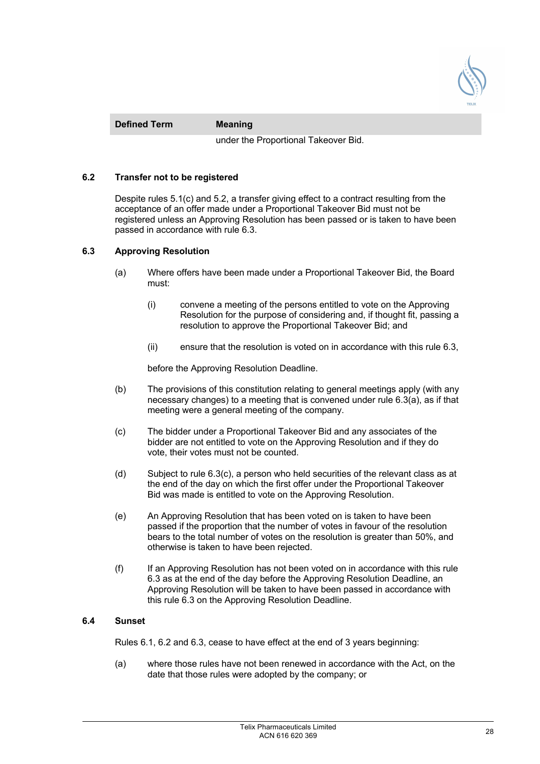

**Defined Term Meaning** 

under the Proportional Takeover Bid.

## **6.2 Transfer not to be registered**

Despite rules 5.1(c) and 5.2, a transfer giving effect to a contract resulting from the acceptance of an offer made under a Proportional Takeover Bid must not be registered unless an Approving Resolution has been passed or is taken to have been passed in accordance with rule 6.3.

#### **6.3 Approving Resolution**

- (a) Where offers have been made under a Proportional Takeover Bid, the Board must:
	- (i) convene a meeting of the persons entitled to vote on the Approving Resolution for the purpose of considering and, if thought fit, passing a resolution to approve the Proportional Takeover Bid; and
	- (ii) ensure that the resolution is voted on in accordance with this rule 6.3,

before the Approving Resolution Deadline.

- (b) The provisions of this constitution relating to general meetings apply (with any necessary changes) to a meeting that is convened under rule 6.3(a), as if that meeting were a general meeting of the company.
- (c) The bidder under a Proportional Takeover Bid and any associates of the bidder are not entitled to vote on the Approving Resolution and if they do vote, their votes must not be counted.
- (d) Subject to rule 6.3(c), a person who held securities of the relevant class as at the end of the day on which the first offer under the Proportional Takeover Bid was made is entitled to vote on the Approving Resolution.
- (e) An Approving Resolution that has been voted on is taken to have been passed if the proportion that the number of votes in favour of the resolution bears to the total number of votes on the resolution is greater than 50%, and otherwise is taken to have been rejected.
- (f) If an Approving Resolution has not been voted on in accordance with this rule 6.3 as at the end of the day before the Approving Resolution Deadline, an Approving Resolution will be taken to have been passed in accordance with this rule 6.3 on the Approving Resolution Deadline.

## **6.4 Sunset**

Rules 6.1, 6.2 and 6.3, cease to have effect at the end of 3 years beginning:

(a) where those rules have not been renewed in accordance with the Act, on the date that those rules were adopted by the company; or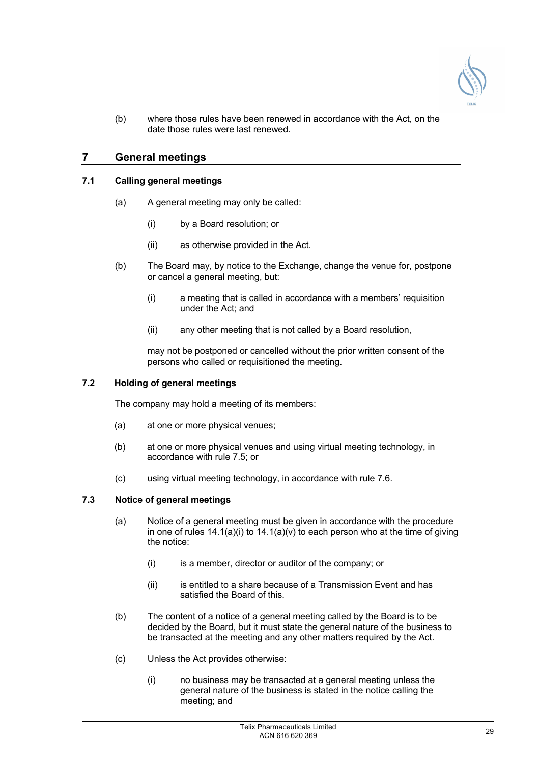

(b) where those rules have been renewed in accordance with the Act, on the date those rules were last renewed.

## **7 General meetings**

## **7.1 Calling general meetings**

- (a) A general meeting may only be called:
	- (i) by a Board resolution; or
	- (ii) as otherwise provided in the Act.
- (b) The Board may, by notice to the Exchange, change the venue for, postpone or cancel a general meeting, but:
	- (i) a meeting that is called in accordance with a members' requisition under the Act; and
	- (ii) any other meeting that is not called by a Board resolution,

may not be postponed or cancelled without the prior written consent of the persons who called or requisitioned the meeting.

## **7.2 Holding of general meetings**

The company may hold a meeting of its members:

- (a) at one or more physical venues;
- (b) at one or more physical venues and using virtual meeting technology, in accordance with rule 7.5; or
- (c) using virtual meeting technology, in accordance with rule 7.6.

## **7.3 Notice of general meetings**

- (a) Notice of a general meeting must be given in accordance with the procedure in one of rules  $14.1(a)(i)$  to  $14.1(a)(v)$  to each person who at the time of giving the notice:
	- (i) is a member, director or auditor of the company; or
	- (ii) is entitled to a share because of a Transmission Event and has satisfied the Board of this.
- (b) The content of a notice of a general meeting called by the Board is to be decided by the Board, but it must state the general nature of the business to be transacted at the meeting and any other matters required by the Act.
- (c) Unless the Act provides otherwise:
	- (i) no business may be transacted at a general meeting unless the general nature of the business is stated in the notice calling the meeting; and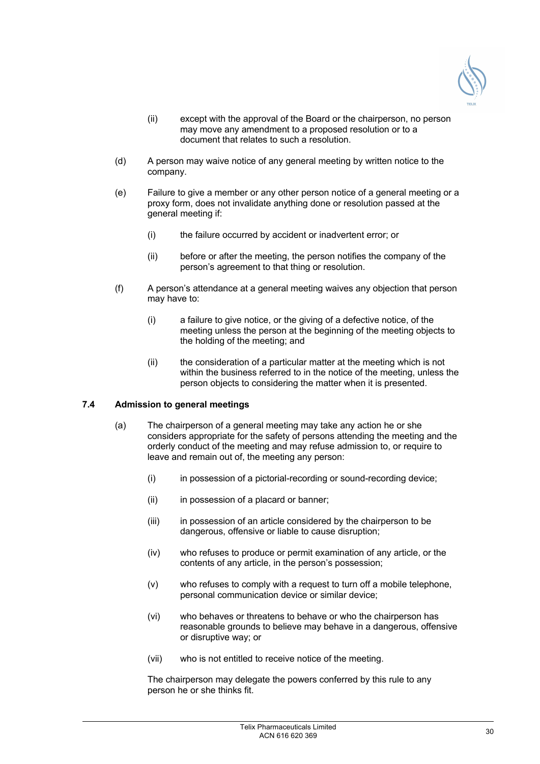

- (ii) except with the approval of the Board or the chairperson, no person may move any amendment to a proposed resolution or to a document that relates to such a resolution.
- (d) A person may waive notice of any general meeting by written notice to the company.
- (e) Failure to give a member or any other person notice of a general meeting or a proxy form, does not invalidate anything done or resolution passed at the general meeting if:
	- (i) the failure occurred by accident or inadvertent error; or
	- (ii) before or after the meeting, the person notifies the company of the person's agreement to that thing or resolution.
- (f) A person's attendance at a general meeting waives any objection that person may have to:
	- (i) a failure to give notice, or the giving of a defective notice, of the meeting unless the person at the beginning of the meeting objects to the holding of the meeting; and
	- (ii) the consideration of a particular matter at the meeting which is not within the business referred to in the notice of the meeting, unless the person objects to considering the matter when it is presented.

## **7.4 Admission to general meetings**

- (a) The chairperson of a general meeting may take any action he or she considers appropriate for the safety of persons attending the meeting and the orderly conduct of the meeting and may refuse admission to, or require to leave and remain out of, the meeting any person:
	- (i) in possession of a pictorial-recording or sound-recording device;
	- (ii) in possession of a placard or banner;
	- (iii) in possession of an article considered by the chairperson to be dangerous, offensive or liable to cause disruption;
	- (iv) who refuses to produce or permit examination of any article, or the contents of any article, in the person's possession;
	- (v) who refuses to comply with a request to turn off a mobile telephone, personal communication device or similar device;
	- (vi) who behaves or threatens to behave or who the chairperson has reasonable grounds to believe may behave in a dangerous, offensive or disruptive way; or
	- (vii) who is not entitled to receive notice of the meeting.

The chairperson may delegate the powers conferred by this rule to any person he or she thinks fit.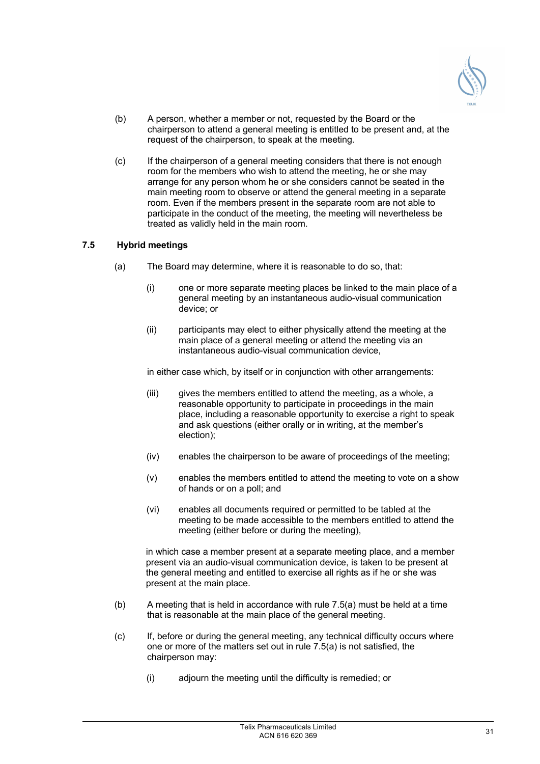

- (b) A person, whether a member or not, requested by the Board or the chairperson to attend a general meeting is entitled to be present and, at the request of the chairperson, to speak at the meeting.
- (c) If the chairperson of a general meeting considers that there is not enough room for the members who wish to attend the meeting, he or she may arrange for any person whom he or she considers cannot be seated in the main meeting room to observe or attend the general meeting in a separate room. Even if the members present in the separate room are not able to participate in the conduct of the meeting, the meeting will nevertheless be treated as validly held in the main room.

## **7.5 Hybrid meetings**

- (a) The Board may determine, where it is reasonable to do so, that:
	- (i) one or more separate meeting places be linked to the main place of a general meeting by an instantaneous audio-visual communication device; or
	- (ii) participants may elect to either physically attend the meeting at the main place of a general meeting or attend the meeting via an instantaneous audio-visual communication device,

in either case which, by itself or in conjunction with other arrangements:

- (iii) gives the members entitled to attend the meeting, as a whole, a reasonable opportunity to participate in proceedings in the main place, including a reasonable opportunity to exercise a right to speak and ask questions (either orally or in writing, at the member's election);
- (iv) enables the chairperson to be aware of proceedings of the meeting;
- (v) enables the members entitled to attend the meeting to vote on a show of hands or on a poll; and
- (vi) enables all documents required or permitted to be tabled at the meeting to be made accessible to the members entitled to attend the meeting (either before or during the meeting),

in which case a member present at a separate meeting place, and a member present via an audio-visual communication device, is taken to be present at the general meeting and entitled to exercise all rights as if he or she was present at the main place.

- (b) A meeting that is held in accordance with rule 7.5(a) must be held at a time that is reasonable at the main place of the general meeting.
- (c) If, before or during the general meeting, any technical difficulty occurs where one or more of the matters set out in rule 7.5(a) is not satisfied, the chairperson may:
	- (i) adjourn the meeting until the difficulty is remedied; or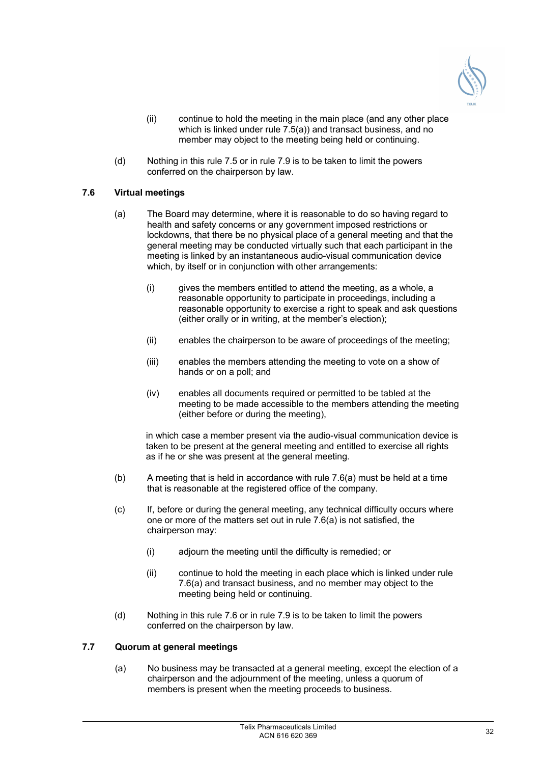

- (ii) continue to hold the meeting in the main place (and any other place which is linked under rule 7.5(a)) and transact business, and no member may object to the meeting being held or continuing.
- (d) Nothing in this rule 7.5 or in rule 7.9 is to be taken to limit the powers conferred on the chairperson by law.

## **7.6 Virtual meetings**

- (a) The Board may determine, where it is reasonable to do so having regard to health and safety concerns or any government imposed restrictions or lockdowns, that there be no physical place of a general meeting and that the general meeting may be conducted virtually such that each participant in the meeting is linked by an instantaneous audio-visual communication device which. by itself or in conjunction with other arrangements:
	- (i) gives the members entitled to attend the meeting, as a whole, a reasonable opportunity to participate in proceedings, including a reasonable opportunity to exercise a right to speak and ask questions (either orally or in writing, at the member's election);
	- (ii) enables the chairperson to be aware of proceedings of the meeting;
	- (iii) enables the members attending the meeting to vote on a show of hands or on a poll; and
	- (iv) enables all documents required or permitted to be tabled at the meeting to be made accessible to the members attending the meeting (either before or during the meeting),

in which case a member present via the audio-visual communication device is taken to be present at the general meeting and entitled to exercise all rights as if he or she was present at the general meeting.

- (b) A meeting that is held in accordance with rule 7.6(a) must be held at a time that is reasonable at the registered office of the company.
- (c) If, before or during the general meeting, any technical difficulty occurs where one or more of the matters set out in rule 7.6(a) is not satisfied, the chairperson may:
	- (i) adjourn the meeting until the difficulty is remedied; or
	- (ii) continue to hold the meeting in each place which is linked under rule 7.6(a) and transact business, and no member may object to the meeting being held or continuing.
- (d) Nothing in this rule 7.6 or in rule 7.9 is to be taken to limit the powers conferred on the chairperson by law.

## **7.7 Quorum at general meetings**

(a) No business may be transacted at a general meeting, except the election of a chairperson and the adjournment of the meeting, unless a quorum of members is present when the meeting proceeds to business.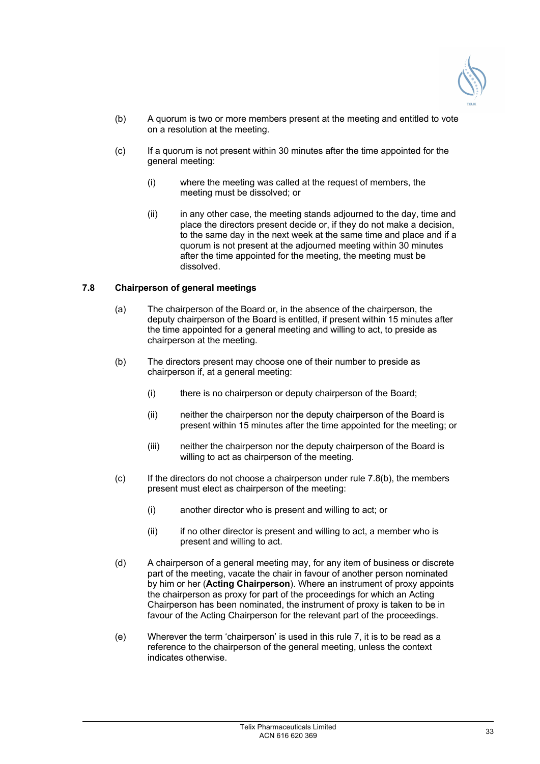

- (b) A quorum is two or more members present at the meeting and entitled to vote on a resolution at the meeting.
- (c) If a quorum is not present within 30 minutes after the time appointed for the general meeting:
	- (i) where the meeting was called at the request of members, the meeting must be dissolved; or
	- (ii) in any other case, the meeting stands adjourned to the day, time and place the directors present decide or, if they do not make a decision, to the same day in the next week at the same time and place and if a quorum is not present at the adjourned meeting within 30 minutes after the time appointed for the meeting, the meeting must be dissolved.

#### **7.8 Chairperson of general meetings**

- (a) The chairperson of the Board or, in the absence of the chairperson, the deputy chairperson of the Board is entitled, if present within 15 minutes after the time appointed for a general meeting and willing to act, to preside as chairperson at the meeting.
- (b) The directors present may choose one of their number to preside as chairperson if, at a general meeting:
	- (i) there is no chairperson or deputy chairperson of the Board;
	- (ii) neither the chairperson nor the deputy chairperson of the Board is present within 15 minutes after the time appointed for the meeting; or
	- (iii) neither the chairperson nor the deputy chairperson of the Board is willing to act as chairperson of the meeting.
- $(c)$  If the directors do not choose a chairperson under rule 7.8(b), the members present must elect as chairperson of the meeting:
	- (i) another director who is present and willing to act; or
	- (ii) if no other director is present and willing to act, a member who is present and willing to act.
- (d) A chairperson of a general meeting may, for any item of business or discrete part of the meeting, vacate the chair in favour of another person nominated by him or her (**Acting Chairperson**). Where an instrument of proxy appoints the chairperson as proxy for part of the proceedings for which an Acting Chairperson has been nominated, the instrument of proxy is taken to be in favour of the Acting Chairperson for the relevant part of the proceedings.
- (e) Wherever the term 'chairperson' is used in this rule 7, it is to be read as a reference to the chairperson of the general meeting, unless the context indicates otherwise.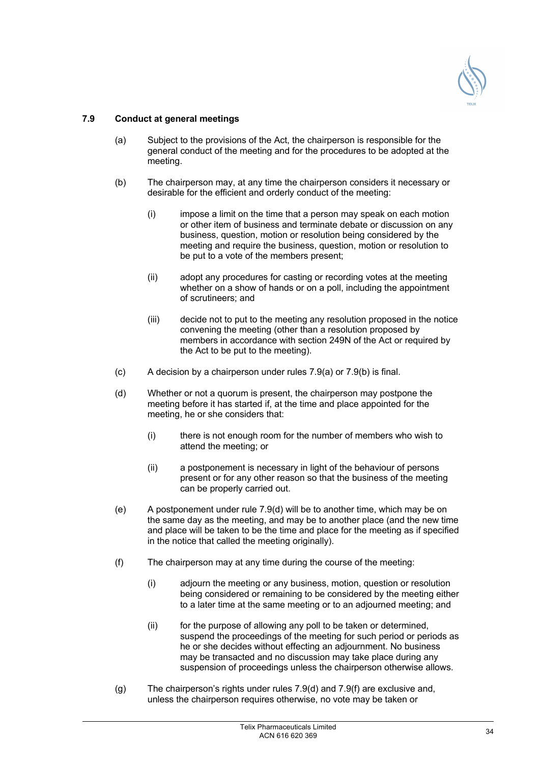

## **7.9 Conduct at general meetings**

- (a) Subject to the provisions of the Act, the chairperson is responsible for the general conduct of the meeting and for the procedures to be adopted at the meeting.
- (b) The chairperson may, at any time the chairperson considers it necessary or desirable for the efficient and orderly conduct of the meeting:
	- (i) impose a limit on the time that a person may speak on each motion or other item of business and terminate debate or discussion on any business, question, motion or resolution being considered by the meeting and require the business, question, motion or resolution to be put to a vote of the members present;
	- (ii) adopt any procedures for casting or recording votes at the meeting whether on a show of hands or on a poll, including the appointment of scrutineers; and
	- (iii) decide not to put to the meeting any resolution proposed in the notice convening the meeting (other than a resolution proposed by members in accordance with section 249N of the Act or required by the Act to be put to the meeting).
- (c) A decision by a chairperson under rules 7.9(a) or 7.9(b) is final.
- (d) Whether or not a quorum is present, the chairperson may postpone the meeting before it has started if, at the time and place appointed for the meeting, he or she considers that:
	- (i) there is not enough room for the number of members who wish to attend the meeting; or
	- (ii) a postponement is necessary in light of the behaviour of persons present or for any other reason so that the business of the meeting can be properly carried out.
- (e) A postponement under rule 7.9(d) will be to another time, which may be on the same day as the meeting, and may be to another place (and the new time and place will be taken to be the time and place for the meeting as if specified in the notice that called the meeting originally).
- (f) The chairperson may at any time during the course of the meeting:
	- (i) adjourn the meeting or any business, motion, question or resolution being considered or remaining to be considered by the meeting either to a later time at the same meeting or to an adjourned meeting; and
	- (ii) for the purpose of allowing any poll to be taken or determined, suspend the proceedings of the meeting for such period or periods as he or she decides without effecting an adjournment. No business may be transacted and no discussion may take place during any suspension of proceedings unless the chairperson otherwise allows.
- (g) The chairperson's rights under rules 7.9(d) and 7.9(f) are exclusive and, unless the chairperson requires otherwise, no vote may be taken or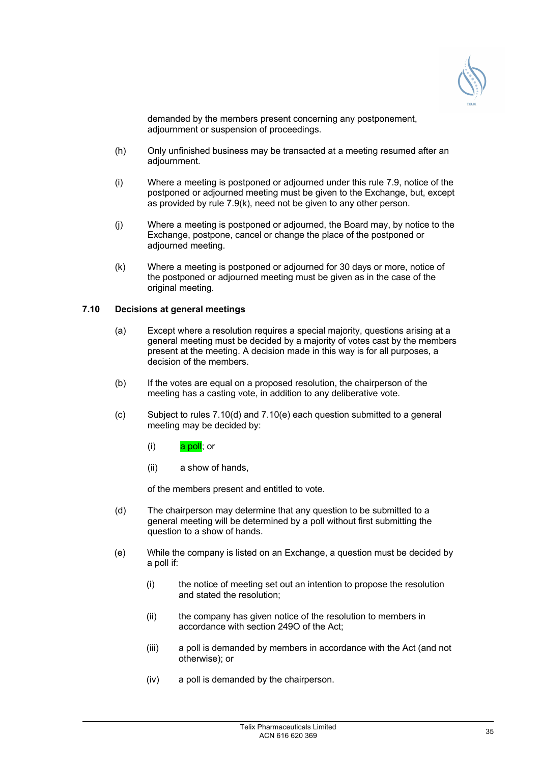

demanded by the members present concerning any postponement, adjournment or suspension of proceedings.

- (h) Only unfinished business may be transacted at a meeting resumed after an adjournment.
- (i) Where a meeting is postponed or adjourned under this rule 7.9, notice of the postponed or adjourned meeting must be given to the Exchange, but, except as provided by rule 7.9(k), need not be given to any other person.
- (j) Where a meeting is postponed or adjourned, the Board may, by notice to the Exchange, postpone, cancel or change the place of the postponed or adjourned meeting.
- (k) Where a meeting is postponed or adjourned for 30 days or more, notice of the postponed or adjourned meeting must be given as in the case of the original meeting.

## **7.10 Decisions at general meetings**

- (a) Except where a resolution requires a special majority, questions arising at a general meeting must be decided by a majority of votes cast by the members present at the meeting. A decision made in this way is for all purposes, a decision of the members.
- (b) If the votes are equal on a proposed resolution, the chairperson of the meeting has a casting vote, in addition to any deliberative vote.
- (c) Subject to rules 7.10(d) and 7.10(e) each question submitted to a general meeting may be decided by:
	- $(i)$  a poll; or
	- (ii) a show of hands,

of the members present and entitled to vote.

- (d) The chairperson may determine that any question to be submitted to a general meeting will be determined by a poll without first submitting the question to a show of hands.
- (e) While the company is listed on an Exchange, a question must be decided by a poll if:
	- (i) the notice of meeting set out an intention to propose the resolution and stated the resolution;
	- (ii) the company has given notice of the resolution to members in accordance with section 249O of the Act;
	- (iii) a poll is demanded by members in accordance with the Act (and not otherwise); or
	- (iv) a poll is demanded by the chairperson.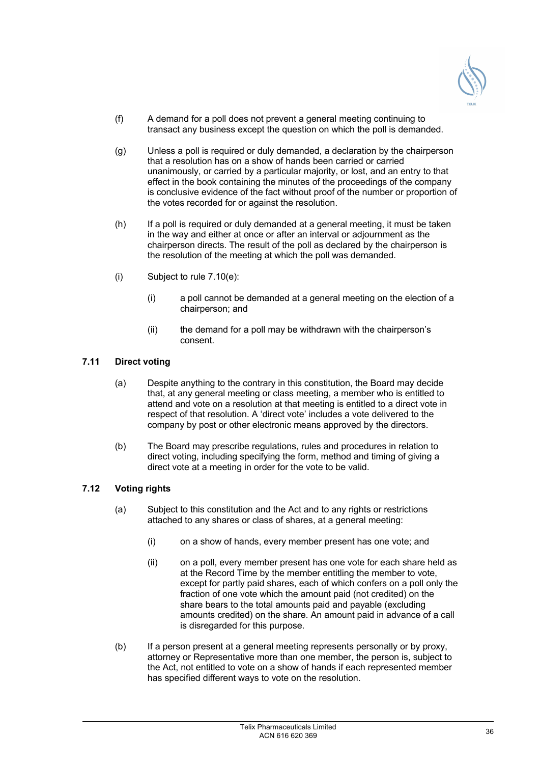

- (f) A demand for a poll does not prevent a general meeting continuing to transact any business except the question on which the poll is demanded.
- (g) Unless a poll is required or duly demanded, a declaration by the chairperson that a resolution has on a show of hands been carried or carried unanimously, or carried by a particular majority, or lost, and an entry to that effect in the book containing the minutes of the proceedings of the company is conclusive evidence of the fact without proof of the number or proportion of the votes recorded for or against the resolution.
- (h) If a poll is required or duly demanded at a general meeting, it must be taken in the way and either at once or after an interval or adjournment as the chairperson directs. The result of the poll as declared by the chairperson is the resolution of the meeting at which the poll was demanded.
- (i) Subject to rule 7.10(e):
	- (i) a poll cannot be demanded at a general meeting on the election of a chairperson; and
	- (ii) the demand for a poll may be withdrawn with the chairperson's consent.

## **7.11 Direct voting**

- (a) Despite anything to the contrary in this constitution, the Board may decide that, at any general meeting or class meeting, a member who is entitled to attend and vote on a resolution at that meeting is entitled to a direct vote in respect of that resolution. A 'direct vote' includes a vote delivered to the company by post or other electronic means approved by the directors.
- (b) The Board may prescribe regulations, rules and procedures in relation to direct voting, including specifying the form, method and timing of giving a direct vote at a meeting in order for the vote to be valid.

## **7.12 Voting rights**

- (a) Subject to this constitution and the Act and to any rights or restrictions attached to any shares or class of shares, at a general meeting:
	- (i) on a show of hands, every member present has one vote; and
	- (ii) on a poll, every member present has one vote for each share held as at the Record Time by the member entitling the member to vote, except for partly paid shares, each of which confers on a poll only the fraction of one vote which the amount paid (not credited) on the share bears to the total amounts paid and payable (excluding amounts credited) on the share. An amount paid in advance of a call is disregarded for this purpose.
- (b) If a person present at a general meeting represents personally or by proxy, attorney or Representative more than one member, the person is, subject to the Act, not entitled to vote on a show of hands if each represented member has specified different ways to vote on the resolution.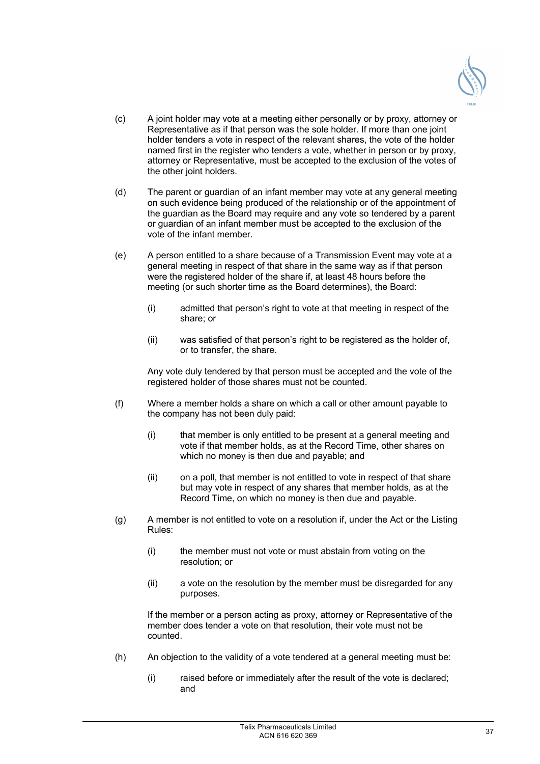

- (c) A joint holder may vote at a meeting either personally or by proxy, attorney or Representative as if that person was the sole holder. If more than one joint holder tenders a vote in respect of the relevant shares, the vote of the holder named first in the register who tenders a vote, whether in person or by proxy, attorney or Representative, must be accepted to the exclusion of the votes of the other joint holders.
- (d) The parent or guardian of an infant member may vote at any general meeting on such evidence being produced of the relationship or of the appointment of the guardian as the Board may require and any vote so tendered by a parent or guardian of an infant member must be accepted to the exclusion of the vote of the infant member.
- (e) A person entitled to a share because of a Transmission Event may vote at a general meeting in respect of that share in the same way as if that person were the registered holder of the share if, at least 48 hours before the meeting (or such shorter time as the Board determines), the Board:
	- (i) admitted that person's right to vote at that meeting in respect of the share; or
	- (ii) was satisfied of that person's right to be registered as the holder of, or to transfer, the share.

Any vote duly tendered by that person must be accepted and the vote of the registered holder of those shares must not be counted.

- (f) Where a member holds a share on which a call or other amount payable to the company has not been duly paid:
	- (i) that member is only entitled to be present at a general meeting and vote if that member holds, as at the Record Time, other shares on which no money is then due and payable; and
	- (ii) on a poll, that member is not entitled to vote in respect of that share but may vote in respect of any shares that member holds, as at the Record Time, on which no money is then due and payable.
- (g) A member is not entitled to vote on a resolution if, under the Act or the Listing Rules:
	- (i) the member must not vote or must abstain from voting on the resolution; or
	- (ii) a vote on the resolution by the member must be disregarded for any purposes.

If the member or a person acting as proxy, attorney or Representative of the member does tender a vote on that resolution, their vote must not be counted.

- (h) An objection to the validity of a vote tendered at a general meeting must be:
	- (i) raised before or immediately after the result of the vote is declared; and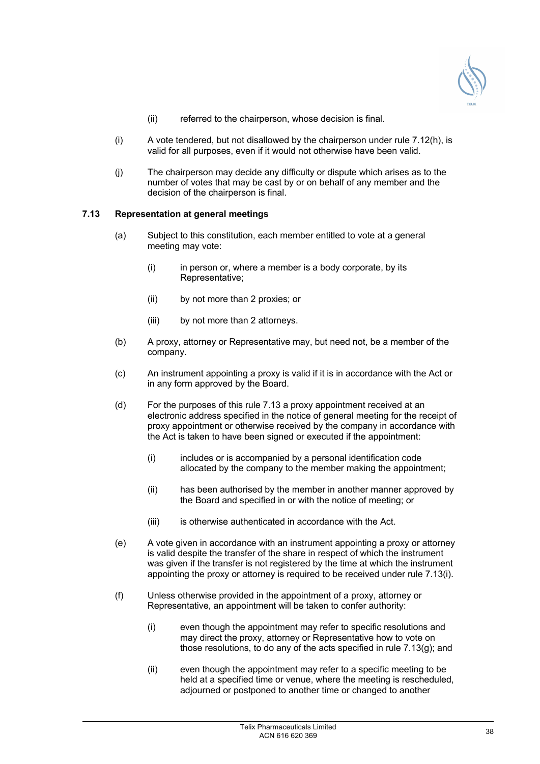

- (ii) referred to the chairperson, whose decision is final.
- $(i)$  A vote tendered, but not disallowed by the chairperson under rule 7.12(h), is valid for all purposes, even if it would not otherwise have been valid.
- (j) The chairperson may decide any difficulty or dispute which arises as to the number of votes that may be cast by or on behalf of any member and the decision of the chairperson is final.

## **7.13 Representation at general meetings**

- (a) Subject to this constitution, each member entitled to vote at a general meeting may vote:
	- $(i)$  in person or, where a member is a body corporate, by its Representative;
	- (ii) by not more than 2 proxies; or
	- (iii) by not more than 2 attorneys.
- (b) A proxy, attorney or Representative may, but need not, be a member of the company.
- (c) An instrument appointing a proxy is valid if it is in accordance with the Act or in any form approved by the Board.
- (d) For the purposes of this rule 7.13 a proxy appointment received at an electronic address specified in the notice of general meeting for the receipt of proxy appointment or otherwise received by the company in accordance with the Act is taken to have been signed or executed if the appointment:
	- (i) includes or is accompanied by a personal identification code allocated by the company to the member making the appointment;
	- (ii) has been authorised by the member in another manner approved by the Board and specified in or with the notice of meeting; or
	- (iii) is otherwise authenticated in accordance with the Act.
- (e) A vote given in accordance with an instrument appointing a proxy or attorney is valid despite the transfer of the share in respect of which the instrument was given if the transfer is not registered by the time at which the instrument appointing the proxy or attorney is required to be received under rule 7.13(i).
- (f) Unless otherwise provided in the appointment of a proxy, attorney or Representative, an appointment will be taken to confer authority:
	- (i) even though the appointment may refer to specific resolutions and may direct the proxy, attorney or Representative how to vote on those resolutions, to do any of the acts specified in rule 7.13(g); and
	- (ii) even though the appointment may refer to a specific meeting to be held at a specified time or venue, where the meeting is rescheduled, adjourned or postponed to another time or changed to another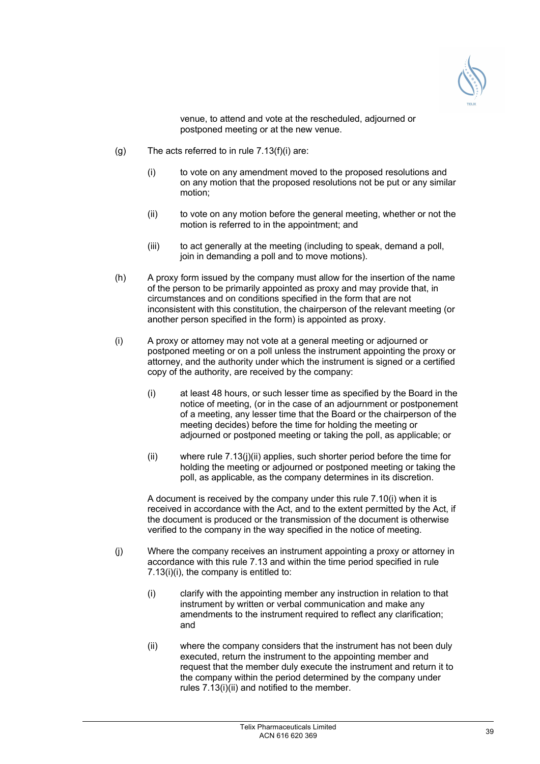

venue, to attend and vote at the rescheduled, adjourned or postponed meeting or at the new venue.

- (g) The acts referred to in rule 7.13(f)(i) are:
	- (i) to vote on any amendment moved to the proposed resolutions and on any motion that the proposed resolutions not be put or any similar motion;
	- (ii) to vote on any motion before the general meeting, whether or not the motion is referred to in the appointment; and
	- (iii) to act generally at the meeting (including to speak, demand a poll, join in demanding a poll and to move motions).
- (h) A proxy form issued by the company must allow for the insertion of the name of the person to be primarily appointed as proxy and may provide that, in circumstances and on conditions specified in the form that are not inconsistent with this constitution, the chairperson of the relevant meeting (or another person specified in the form) is appointed as proxy.
- (i) A proxy or attorney may not vote at a general meeting or adjourned or postponed meeting or on a poll unless the instrument appointing the proxy or attorney, and the authority under which the instrument is signed or a certified copy of the authority, are received by the company:
	- (i) at least 48 hours, or such lesser time as specified by the Board in the notice of meeting, (or in the case of an adjournment or postponement of a meeting, any lesser time that the Board or the chairperson of the meeting decides) before the time for holding the meeting or adjourned or postponed meeting or taking the poll, as applicable; or
	- (ii) where rule 7.13(j)(ii) applies, such shorter period before the time for holding the meeting or adjourned or postponed meeting or taking the poll, as applicable, as the company determines in its discretion.

A document is received by the company under this rule 7.10(i) when it is received in accordance with the Act, and to the extent permitted by the Act, if the document is produced or the transmission of the document is otherwise verified to the company in the way specified in the notice of meeting.

- (j) Where the company receives an instrument appointing a proxy or attorney in accordance with this rule 7.13 and within the time period specified in rule 7.13(i)(i), the company is entitled to:
	- (i) clarify with the appointing member any instruction in relation to that instrument by written or verbal communication and make any amendments to the instrument required to reflect any clarification; and
	- (ii) where the company considers that the instrument has not been duly executed, return the instrument to the appointing member and request that the member duly execute the instrument and return it to the company within the period determined by the company under rules 7.13(i)(ii) and notified to the member.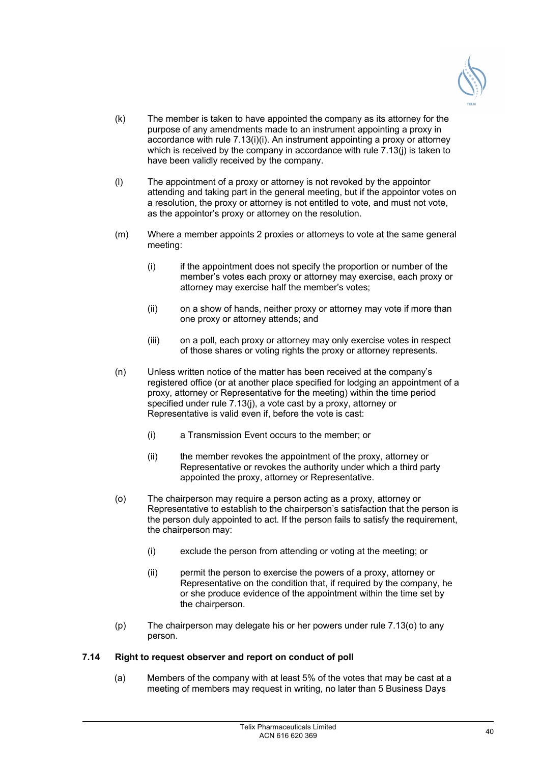

- (k) The member is taken to have appointed the company as its attorney for the purpose of any amendments made to an instrument appointing a proxy in accordance with rule 7.13(i)(i). An instrument appointing a proxy or attorney which is received by the company in accordance with rule 7.13(i) is taken to have been validly received by the company.
- (l) The appointment of a proxy or attorney is not revoked by the appointor attending and taking part in the general meeting, but if the appointor votes on a resolution, the proxy or attorney is not entitled to vote, and must not vote, as the appointor's proxy or attorney on the resolution.
- (m) Where a member appoints 2 proxies or attorneys to vote at the same general meeting:
	- (i) if the appointment does not specify the proportion or number of the member's votes each proxy or attorney may exercise, each proxy or attorney may exercise half the member's votes;
	- (ii) on a show of hands, neither proxy or attorney may vote if more than one proxy or attorney attends; and
	- (iii) on a poll, each proxy or attorney may only exercise votes in respect of those shares or voting rights the proxy or attorney represents.
- (n) Unless written notice of the matter has been received at the company's registered office (or at another place specified for lodging an appointment of a proxy, attorney or Representative for the meeting) within the time period specified under rule 7.13(j), a vote cast by a proxy, attorney or Representative is valid even if, before the vote is cast:
	- (i) a Transmission Event occurs to the member; or
	- (ii) the member revokes the appointment of the proxy, attorney or Representative or revokes the authority under which a third party appointed the proxy, attorney or Representative.
- (o) The chairperson may require a person acting as a proxy, attorney or Representative to establish to the chairperson's satisfaction that the person is the person duly appointed to act. If the person fails to satisfy the requirement, the chairperson may:
	- (i) exclude the person from attending or voting at the meeting; or
	- (ii) permit the person to exercise the powers of a proxy, attorney or Representative on the condition that, if required by the company, he or she produce evidence of the appointment within the time set by the chairperson.
- (p) The chairperson may delegate his or her powers under rule 7.13(o) to any person.

## **7.14 Right to request observer and report on conduct of poll**

(a) Members of the company with at least 5% of the votes that may be cast at a meeting of members may request in writing, no later than 5 Business Days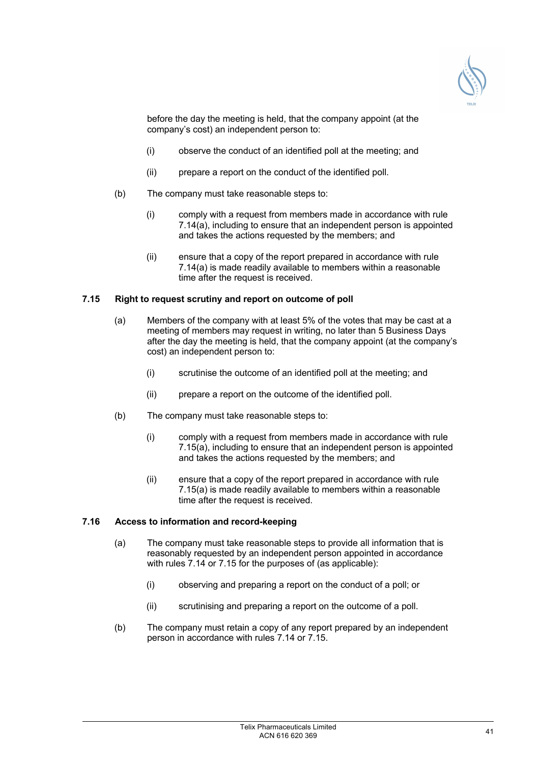

before the day the meeting is held, that the company appoint (at the company's cost) an independent person to:

- (i) observe the conduct of an identified poll at the meeting; and
- (ii) prepare a report on the conduct of the identified poll.
- (b) The company must take reasonable steps to:
	- (i) comply with a request from members made in accordance with rule  $7.14(a)$ , including to ensure that an independent person is appointed and takes the actions requested by the members; and
	- (ii) ensure that a copy of the report prepared in accordance with rule 7.14(a) is made readily available to members within a reasonable time after the request is received.

#### **7.15 Right to request scrutiny and report on outcome of poll**

- (a) Members of the company with at least 5% of the votes that may be cast at a meeting of members may request in writing, no later than 5 Business Days after the day the meeting is held, that the company appoint (at the company's cost) an independent person to:
	- (i) scrutinise the outcome of an identified poll at the meeting; and
	- (ii) prepare a report on the outcome of the identified poll.
- (b) The company must take reasonable steps to:
	- (i) comply with a request from members made in accordance with rule 7.15(a), including to ensure that an independent person is appointed and takes the actions requested by the members; and
	- (ii) ensure that a copy of the report prepared in accordance with rule 7.15(a) is made readily available to members within a reasonable time after the request is received.

#### **7.16 Access to information and record-keeping**

- (a) The company must take reasonable steps to provide all information that is reasonably requested by an independent person appointed in accordance with rules 7.14 or 7.15 for the purposes of (as applicable):
	- (i) observing and preparing a report on the conduct of a poll; or
	- (ii) scrutinising and preparing a report on the outcome of a poll.
- (b) The company must retain a copy of any report prepared by an independent person in accordance with rules 7.14 or 7.15.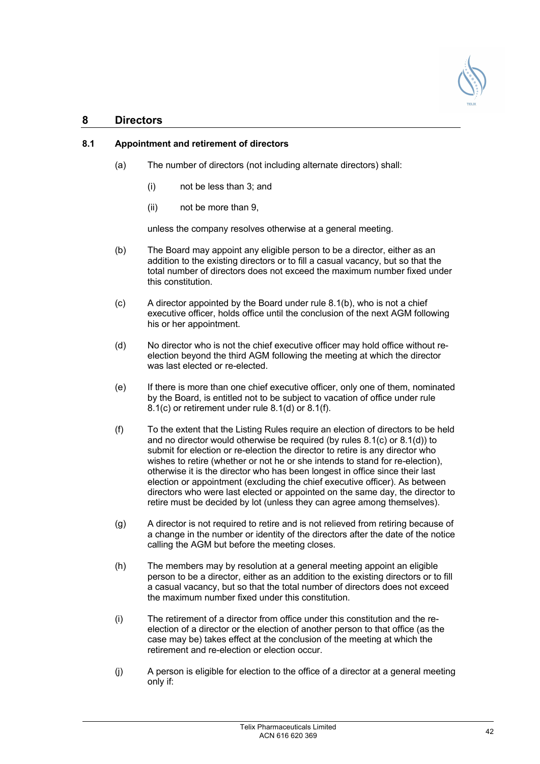

## **8 Directors**

## **8.1 Appointment and retirement of directors**

- (a) The number of directors (not including alternate directors) shall:
	- (i) not be less than 3; and
	- (ii) not be more than 9,

unless the company resolves otherwise at a general meeting.

- (b) The Board may appoint any eligible person to be a director, either as an addition to the existing directors or to fill a casual vacancy, but so that the total number of directors does not exceed the maximum number fixed under this constitution.
- (c) A director appointed by the Board under rule 8.1(b), who is not a chief executive officer, holds office until the conclusion of the next AGM following his or her appointment.
- (d) No director who is not the chief executive officer may hold office without reelection beyond the third AGM following the meeting at which the director was last elected or re-elected.
- (e) If there is more than one chief executive officer, only one of them, nominated by the Board, is entitled not to be subject to vacation of office under rule 8.1(c) or retirement under rule 8.1(d) or 8.1(f).
- (f) To the extent that the Listing Rules require an election of directors to be held and no director would otherwise be required (by rules 8.1(c) or 8.1(d)) to submit for election or re-election the director to retire is any director who wishes to retire (whether or not he or she intends to stand for re-election), otherwise it is the director who has been longest in office since their last election or appointment (excluding the chief executive officer). As between directors who were last elected or appointed on the same day, the director to retire must be decided by lot (unless they can agree among themselves).
- (g) A director is not required to retire and is not relieved from retiring because of a change in the number or identity of the directors after the date of the notice calling the AGM but before the meeting closes.
- (h) The members may by resolution at a general meeting appoint an eligible person to be a director, either as an addition to the existing directors or to fill a casual vacancy, but so that the total number of directors does not exceed the maximum number fixed under this constitution.
- (i) The retirement of a director from office under this constitution and the reelection of a director or the election of another person to that office (as the case may be) takes effect at the conclusion of the meeting at which the retirement and re-election or election occur.
- (j) A person is eligible for election to the office of a director at a general meeting only if: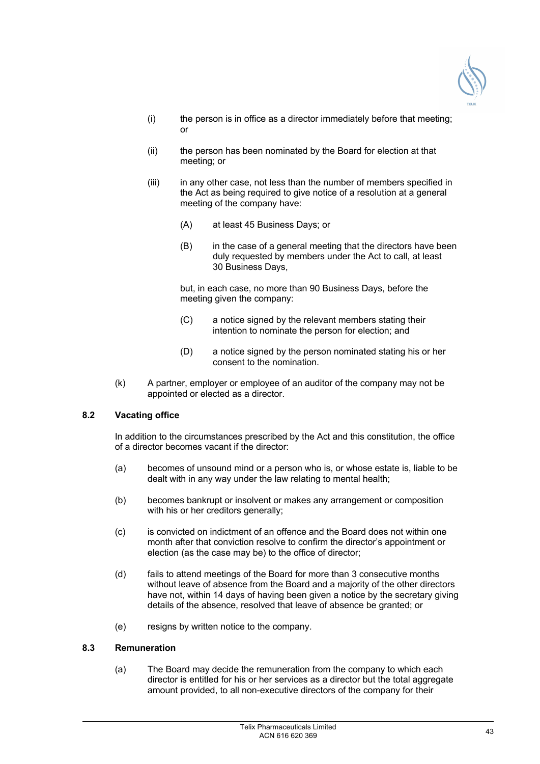

- (i) the person is in office as a director immediately before that meeting; or
- (ii) the person has been nominated by the Board for election at that meeting; or
- (iii) in any other case, not less than the number of members specified in the Act as being required to give notice of a resolution at a general meeting of the company have:
	- (A) at least 45 Business Days; or
	- (B) in the case of a general meeting that the directors have been duly requested by members under the Act to call, at least 30 Business Days,

but, in each case, no more than 90 Business Days, before the meeting given the company:

- (C) a notice signed by the relevant members stating their intention to nominate the person for election; and
- (D) a notice signed by the person nominated stating his or her consent to the nomination.
- (k) A partner, employer or employee of an auditor of the company may not be appointed or elected as a director.

## **8.2 Vacating office**

In addition to the circumstances prescribed by the Act and this constitution, the office of a director becomes vacant if the director:

- (a) becomes of unsound mind or a person who is, or whose estate is, liable to be dealt with in any way under the law relating to mental health;
- (b) becomes bankrupt or insolvent or makes any arrangement or composition with his or her creditors generally;
- (c) is convicted on indictment of an offence and the Board does not within one month after that conviction resolve to confirm the director's appointment or election (as the case may be) to the office of director;
- (d) fails to attend meetings of the Board for more than 3 consecutive months without leave of absence from the Board and a majority of the other directors have not, within 14 days of having been given a notice by the secretary giving details of the absence, resolved that leave of absence be granted; or
- (e) resigns by written notice to the company.

## **8.3 Remuneration**

(a) The Board may decide the remuneration from the company to which each director is entitled for his or her services as a director but the total aggregate amount provided, to all non-executive directors of the company for their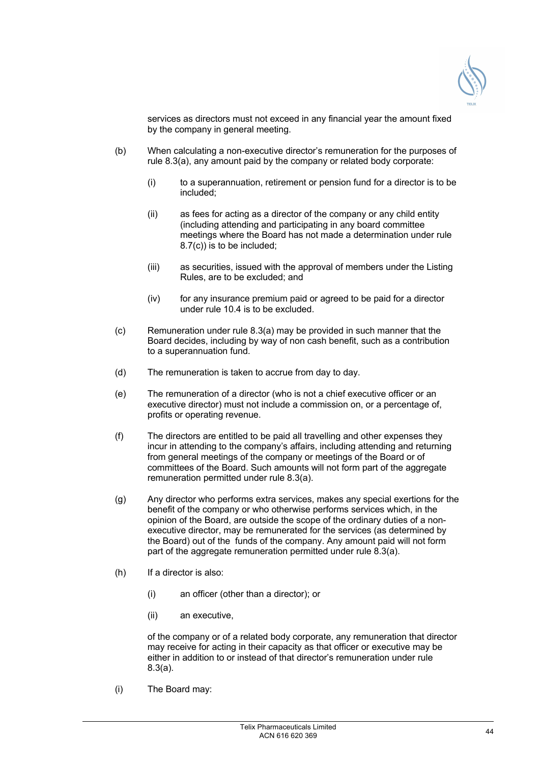

services as directors must not exceed in any financial year the amount fixed by the company in general meeting.

- (b) When calculating a non-executive director's remuneration for the purposes of rule 8.3(a), any amount paid by the company or related body corporate:
	- (i) to a superannuation, retirement or pension fund for a director is to be included;
	- (ii) as fees for acting as a director of the company or any child entity (including attending and participating in any board committee meetings where the Board has not made a determination under rule 8.7(c)) is to be included;
	- (iii) as securities, issued with the approval of members under the Listing Rules, are to be excluded; and
	- (iv) for any insurance premium paid or agreed to be paid for a director under rule 10.4 is to be excluded.
- (c) Remuneration under rule 8.3(a) may be provided in such manner that the Board decides, including by way of non cash benefit, such as a contribution to a superannuation fund.
- (d) The remuneration is taken to accrue from day to day.
- (e) The remuneration of a director (who is not a chief executive officer or an executive director) must not include a commission on, or a percentage of, profits or operating revenue.
- (f) The directors are entitled to be paid all travelling and other expenses they incur in attending to the company's affairs, including attending and returning from general meetings of the company or meetings of the Board or of committees of the Board. Such amounts will not form part of the aggregate remuneration permitted under rule 8.3(a).
- (g) Any director who performs extra services, makes any special exertions for the benefit of the company or who otherwise performs services which, in the opinion of the Board, are outside the scope of the ordinary duties of a nonexecutive director, may be remunerated for the services (as determined by the Board) out of the funds of the company. Any amount paid will not form part of the aggregate remuneration permitted under rule 8.3(a).
- (h) If a director is also:
	- (i) an officer (other than a director); or
	- (ii) an executive,

of the company or of a related body corporate, any remuneration that director may receive for acting in their capacity as that officer or executive may be either in addition to or instead of that director's remuneration under rule 8.3(a).

(i) The Board may: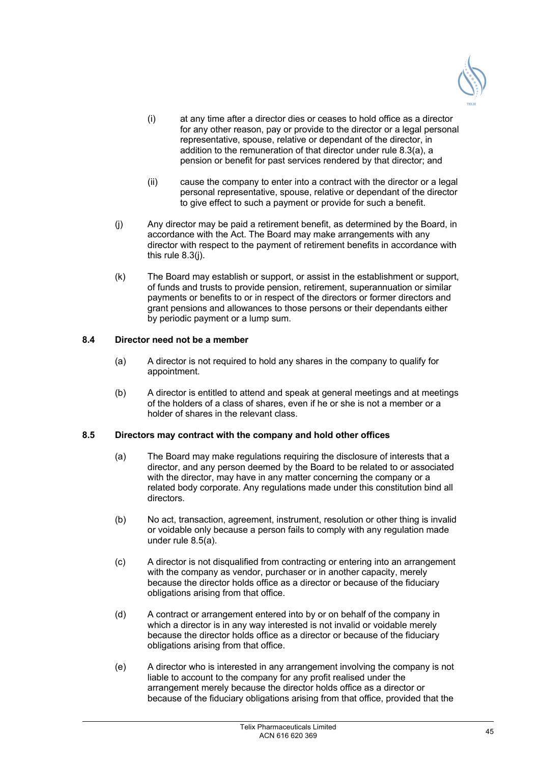

- (i) at any time after a director dies or ceases to hold office as a director for any other reason, pay or provide to the director or a legal personal representative, spouse, relative or dependant of the director, in addition to the remuneration of that director under rule 8.3(a), a pension or benefit for past services rendered by that director; and
- (ii) cause the company to enter into a contract with the director or a legal personal representative, spouse, relative or dependant of the director to give effect to such a payment or provide for such a benefit.
- (j) Any director may be paid a retirement benefit, as determined by the Board, in accordance with the Act. The Board may make arrangements with any director with respect to the payment of retirement benefits in accordance with this rule 8.3(j).
- (k) The Board may establish or support, or assist in the establishment or support, of funds and trusts to provide pension, retirement, superannuation or similar payments or benefits to or in respect of the directors or former directors and grant pensions and allowances to those persons or their dependants either by periodic payment or a lump sum.

## **8.4 Director need not be a member**

- (a) A director is not required to hold any shares in the company to qualify for appointment.
- (b) A director is entitled to attend and speak at general meetings and at meetings of the holders of a class of shares, even if he or she is not a member or a holder of shares in the relevant class.

## **8.5 Directors may contract with the company and hold other offices**

- (a) The Board may make regulations requiring the disclosure of interests that a director, and any person deemed by the Board to be related to or associated with the director, may have in any matter concerning the company or a related body corporate. Any regulations made under this constitution bind all directors.
- (b) No act, transaction, agreement, instrument, resolution or other thing is invalid or voidable only because a person fails to comply with any regulation made under rule 8.5(a).
- (c) A director is not disqualified from contracting or entering into an arrangement with the company as vendor, purchaser or in another capacity, merely because the director holds office as a director or because of the fiduciary obligations arising from that office.
- (d) A contract or arrangement entered into by or on behalf of the company in which a director is in any way interested is not invalid or voidable merely because the director holds office as a director or because of the fiduciary obligations arising from that office.
- (e) A director who is interested in any arrangement involving the company is not liable to account to the company for any profit realised under the arrangement merely because the director holds office as a director or because of the fiduciary obligations arising from that office, provided that the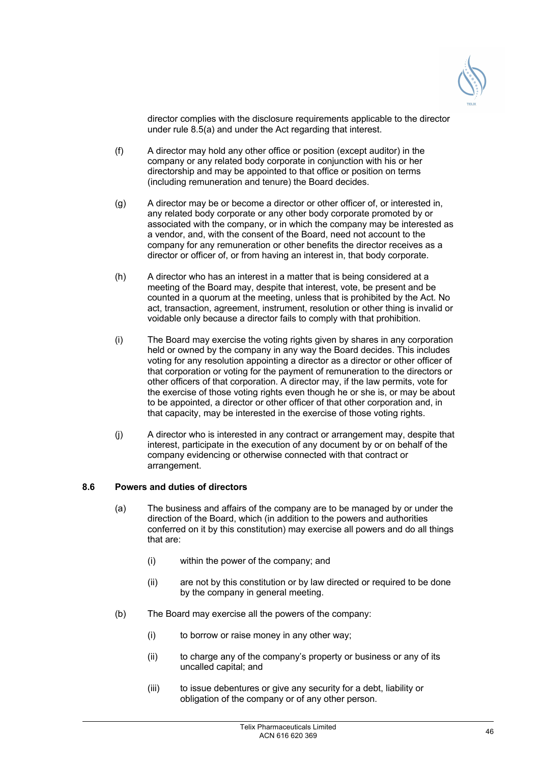

director complies with the disclosure requirements applicable to the director under rule 8.5(a) and under the Act regarding that interest.

- (f) A director may hold any other office or position (except auditor) in the company or any related body corporate in conjunction with his or her directorship and may be appointed to that office or position on terms (including remuneration and tenure) the Board decides.
- (g) A director may be or become a director or other officer of, or interested in, any related body corporate or any other body corporate promoted by or associated with the company, or in which the company may be interested as a vendor, and, with the consent of the Board, need not account to the company for any remuneration or other benefits the director receives as a director or officer of, or from having an interest in, that body corporate.
- (h) A director who has an interest in a matter that is being considered at a meeting of the Board may, despite that interest, vote, be present and be counted in a quorum at the meeting, unless that is prohibited by the Act. No act, transaction, agreement, instrument, resolution or other thing is invalid or voidable only because a director fails to comply with that prohibition.
- (i) The Board may exercise the voting rights given by shares in any corporation held or owned by the company in any way the Board decides. This includes voting for any resolution appointing a director as a director or other officer of that corporation or voting for the payment of remuneration to the directors or other officers of that corporation. A director may, if the law permits, vote for the exercise of those voting rights even though he or she is, or may be about to be appointed, a director or other officer of that other corporation and, in that capacity, may be interested in the exercise of those voting rights.
- (j) A director who is interested in any contract or arrangement may, despite that interest, participate in the execution of any document by or on behalf of the company evidencing or otherwise connected with that contract or arrangement.

## **8.6 Powers and duties of directors**

- (a) The business and affairs of the company are to be managed by or under the direction of the Board, which (in addition to the powers and authorities conferred on it by this constitution) may exercise all powers and do all things that are:
	- (i) within the power of the company; and
	- (ii) are not by this constitution or by law directed or required to be done by the company in general meeting.
- (b) The Board may exercise all the powers of the company:
	- (i) to borrow or raise money in any other way;
	- (ii) to charge any of the company's property or business or any of its uncalled capital; and
	- (iii) to issue debentures or give any security for a debt, liability or obligation of the company or of any other person.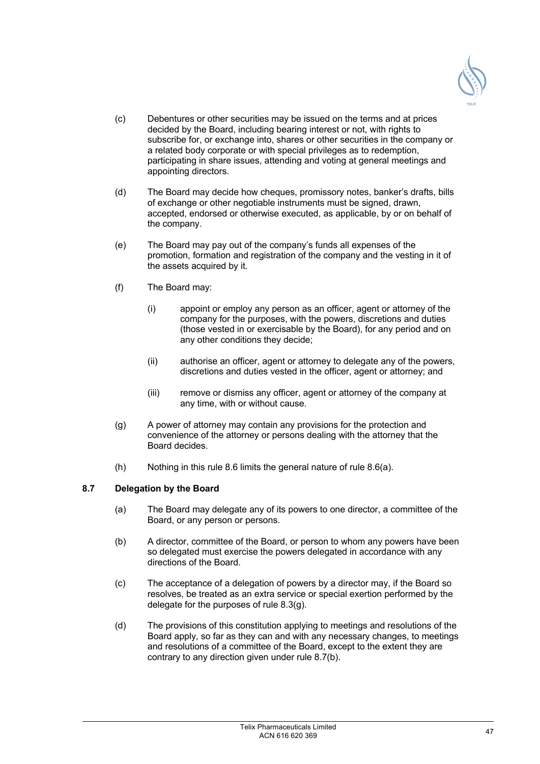

- (c) Debentures or other securities may be issued on the terms and at prices decided by the Board, including bearing interest or not, with rights to subscribe for, or exchange into, shares or other securities in the company or a related body corporate or with special privileges as to redemption, participating in share issues, attending and voting at general meetings and appointing directors.
- (d) The Board may decide how cheques, promissory notes, banker's drafts, bills of exchange or other negotiable instruments must be signed, drawn, accepted, endorsed or otherwise executed, as applicable, by or on behalf of the company.
- (e) The Board may pay out of the company's funds all expenses of the promotion, formation and registration of the company and the vesting in it of the assets acquired by it.
- (f) The Board may:
	- (i) appoint or employ any person as an officer, agent or attorney of the company for the purposes, with the powers, discretions and duties (those vested in or exercisable by the Board), for any period and on any other conditions they decide;
	- (ii) authorise an officer, agent or attorney to delegate any of the powers, discretions and duties vested in the officer, agent or attorney; and
	- (iii) remove or dismiss any officer, agent or attorney of the company at any time, with or without cause.
- (g) A power of attorney may contain any provisions for the protection and convenience of the attorney or persons dealing with the attorney that the Board decides.
- (h) Nothing in this rule 8.6 limits the general nature of rule 8.6(a).

## **8.7 Delegation by the Board**

- (a) The Board may delegate any of its powers to one director, a committee of the Board, or any person or persons.
- (b) A director, committee of the Board, or person to whom any powers have been so delegated must exercise the powers delegated in accordance with any directions of the Board.
- (c) The acceptance of a delegation of powers by a director may, if the Board so resolves, be treated as an extra service or special exertion performed by the delegate for the purposes of rule 8.3(g).
- (d) The provisions of this constitution applying to meetings and resolutions of the Board apply, so far as they can and with any necessary changes, to meetings and resolutions of a committee of the Board, except to the extent they are contrary to any direction given under rule 8.7(b).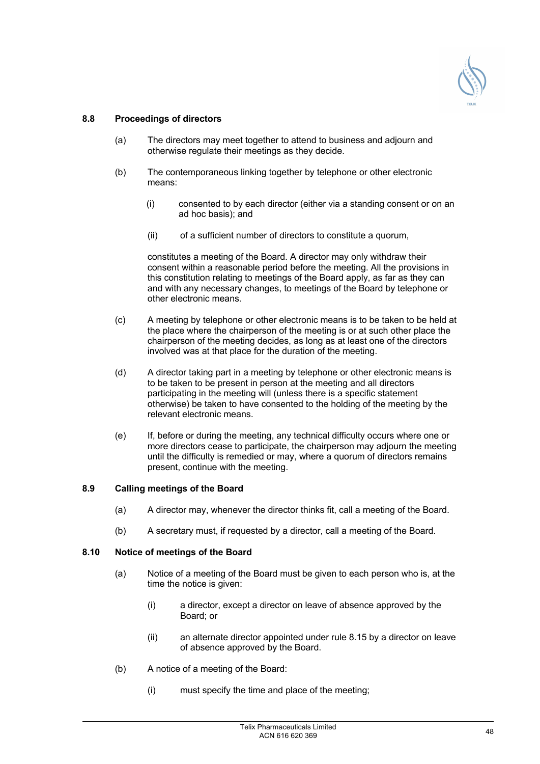

## **8.8 Proceedings of directors**

- (a) The directors may meet together to attend to business and adjourn and otherwise regulate their meetings as they decide.
- (b) The contemporaneous linking together by telephone or other electronic means:
	- (i) consented to by each director (either via a standing consent or on an ad hoc basis); and
	- (ii) of a sufficient number of directors to constitute a quorum,

constitutes a meeting of the Board. A director may only withdraw their consent within a reasonable period before the meeting. All the provisions in this constitution relating to meetings of the Board apply, as far as they can and with any necessary changes, to meetings of the Board by telephone or other electronic means.

- (c) A meeting by telephone or other electronic means is to be taken to be held at the place where the chairperson of the meeting is or at such other place the chairperson of the meeting decides, as long as at least one of the directors involved was at that place for the duration of the meeting.
- (d) A director taking part in a meeting by telephone or other electronic means is to be taken to be present in person at the meeting and all directors participating in the meeting will (unless there is a specific statement otherwise) be taken to have consented to the holding of the meeting by the relevant electronic means.
- (e) If, before or during the meeting, any technical difficulty occurs where one or more directors cease to participate, the chairperson may adjourn the meeting until the difficulty is remedied or may, where a quorum of directors remains present, continue with the meeting.

## **8.9 Calling meetings of the Board**

- (a) A director may, whenever the director thinks fit, call a meeting of the Board.
- (b) A secretary must, if requested by a director, call a meeting of the Board.

## **8.10 Notice of meetings of the Board**

- (a) Notice of a meeting of the Board must be given to each person who is, at the time the notice is given:
	- (i) a director, except a director on leave of absence approved by the Board; or
	- (ii) an alternate director appointed under rule 8.15 by a director on leave of absence approved by the Board.
- (b) A notice of a meeting of the Board:
	- (i) must specify the time and place of the meeting;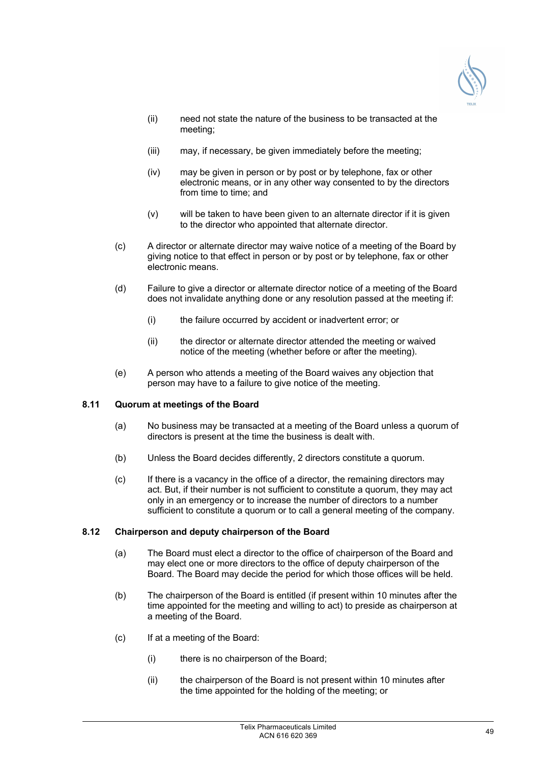

- (ii) need not state the nature of the business to be transacted at the meeting;
- (iii) may, if necessary, be given immediately before the meeting;
- (iv) may be given in person or by post or by telephone, fax or other electronic means, or in any other way consented to by the directors from time to time; and
- (v) will be taken to have been given to an alternate director if it is given to the director who appointed that alternate director.
- (c) A director or alternate director may waive notice of a meeting of the Board by giving notice to that effect in person or by post or by telephone, fax or other electronic means.
- (d) Failure to give a director or alternate director notice of a meeting of the Board does not invalidate anything done or any resolution passed at the meeting if:
	- (i) the failure occurred by accident or inadvertent error; or
	- (ii) the director or alternate director attended the meeting or waived notice of the meeting (whether before or after the meeting).
- (e) A person who attends a meeting of the Board waives any objection that person may have to a failure to give notice of the meeting.

## **8.11 Quorum at meetings of the Board**

- (a) No business may be transacted at a meeting of the Board unless a quorum of directors is present at the time the business is dealt with.
- (b) Unless the Board decides differently, 2 directors constitute a quorum.
- (c) If there is a vacancy in the office of a director, the remaining directors may act. But, if their number is not sufficient to constitute a quorum, they may act only in an emergency or to increase the number of directors to a number sufficient to constitute a quorum or to call a general meeting of the company.

## **8.12 Chairperson and deputy chairperson of the Board**

- (a) The Board must elect a director to the office of chairperson of the Board and may elect one or more directors to the office of deputy chairperson of the Board. The Board may decide the period for which those offices will be held.
- (b) The chairperson of the Board is entitled (if present within 10 minutes after the time appointed for the meeting and willing to act) to preside as chairperson at a meeting of the Board.
- (c) If at a meeting of the Board:
	- (i) there is no chairperson of the Board;
	- (ii) the chairperson of the Board is not present within 10 minutes after the time appointed for the holding of the meeting; or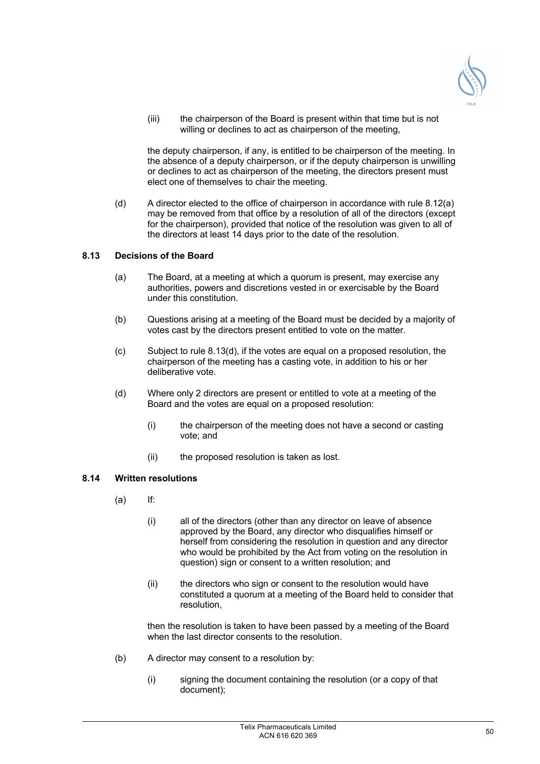

(iii) the chairperson of the Board is present within that time but is not willing or declines to act as chairperson of the meeting,

the deputy chairperson, if any, is entitled to be chairperson of the meeting. In the absence of a deputy chairperson, or if the deputy chairperson is unwilling or declines to act as chairperson of the meeting, the directors present must elect one of themselves to chair the meeting.

(d) A director elected to the office of chairperson in accordance with rule 8.12(a) may be removed from that office by a resolution of all of the directors (except for the chairperson), provided that notice of the resolution was given to all of the directors at least 14 days prior to the date of the resolution.

## **8.13 Decisions of the Board**

- (a) The Board, at a meeting at which a quorum is present, may exercise any authorities, powers and discretions vested in or exercisable by the Board under this constitution.
- (b) Questions arising at a meeting of the Board must be decided by a majority of votes cast by the directors present entitled to vote on the matter.
- (c) Subject to rule 8.13(d), if the votes are equal on a proposed resolution, the chairperson of the meeting has a casting vote, in addition to his or her deliberative vote.
- (d) Where only 2 directors are present or entitled to vote at a meeting of the Board and the votes are equal on a proposed resolution:
	- (i) the chairperson of the meeting does not have a second or casting vote; and
	- (ii) the proposed resolution is taken as lost.

#### **8.14 Written resolutions**

- (a) If:
	- (i) all of the directors (other than any director on leave of absence approved by the Board, any director who disqualifies himself or herself from considering the resolution in question and any director who would be prohibited by the Act from voting on the resolution in question) sign or consent to a written resolution; and
	- (ii) the directors who sign or consent to the resolution would have constituted a quorum at a meeting of the Board held to consider that resolution,

then the resolution is taken to have been passed by a meeting of the Board when the last director consents to the resolution.

- (b) A director may consent to a resolution by:
	- (i) signing the document containing the resolution (or a copy of that document);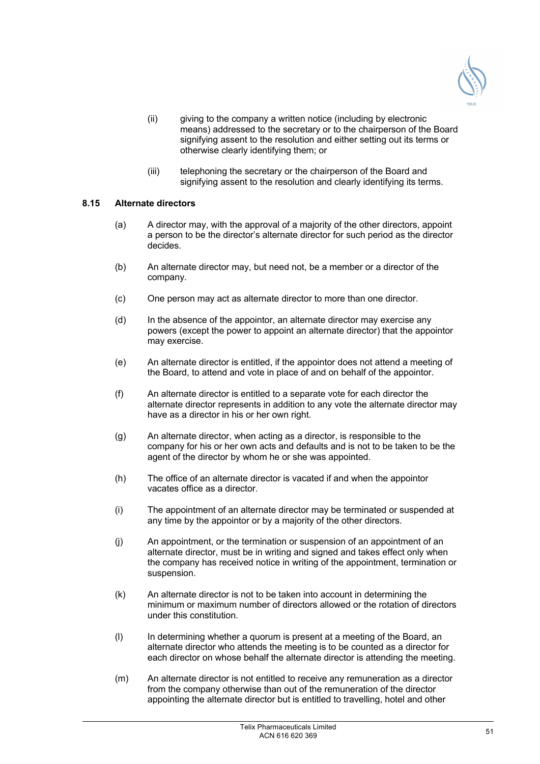

- (ii) giving to the company a written notice (including by electronic means) addressed to the secretary or to the chairperson of the Board signifying assent to the resolution and either setting out its terms or otherwise clearly identifying them; or
- (iii) telephoning the secretary or the chairperson of the Board and signifying assent to the resolution and clearly identifying its terms.

### **8.15 Alternate directors**

- (a) A director may, with the approval of a majority of the other directors, appoint a person to be the director's alternate director for such period as the director decides.
- (b) An alternate director may, but need not, be a member or a director of the company.
- (c) One person may act as alternate director to more than one director.
- (d) In the absence of the appointor, an alternate director may exercise any powers (except the power to appoint an alternate director) that the appointor may exercise.
- (e) An alternate director is entitled, if the appointor does not attend a meeting of the Board, to attend and vote in place of and on behalf of the appointor.
- (f) An alternate director is entitled to a separate vote for each director the alternate director represents in addition to any vote the alternate director may have as a director in his or her own right.
- (g) An alternate director, when acting as a director, is responsible to the company for his or her own acts and defaults and is not to be taken to be the agent of the director by whom he or she was appointed.
- (h) The office of an alternate director is vacated if and when the appointor vacates office as a director.
- (i) The appointment of an alternate director may be terminated or suspended at any time by the appointor or by a majority of the other directors.
- (j) An appointment, or the termination or suspension of an appointment of an alternate director, must be in writing and signed and takes effect only when the company has received notice in writing of the appointment, termination or suspension.
- (k) An alternate director is not to be taken into account in determining the minimum or maximum number of directors allowed or the rotation of directors under this constitution.
- (l) In determining whether a quorum is present at a meeting of the Board, an alternate director who attends the meeting is to be counted as a director for each director on whose behalf the alternate director is attending the meeting.
- (m) An alternate director is not entitled to receive any remuneration as a director from the company otherwise than out of the remuneration of the director appointing the alternate director but is entitled to travelling, hotel and other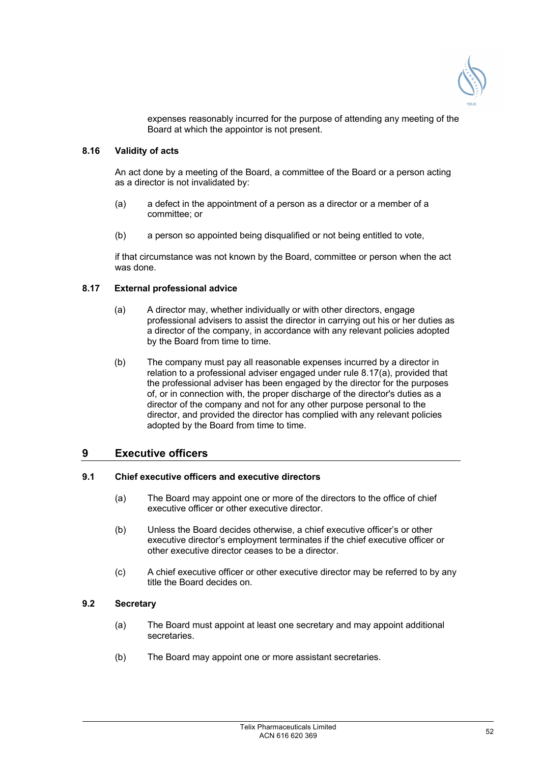

expenses reasonably incurred for the purpose of attending any meeting of the Board at which the appointor is not present.

## **8.16 Validity of acts**

An act done by a meeting of the Board, a committee of the Board or a person acting as a director is not invalidated by:

- (a) a defect in the appointment of a person as a director or a member of a committee; or
- (b) a person so appointed being disqualified or not being entitled to vote,

if that circumstance was not known by the Board, committee or person when the act was done.

#### **8.17 External professional advice**

- (a) A director may, whether individually or with other directors, engage professional advisers to assist the director in carrying out his or her duties as a director of the company, in accordance with any relevant policies adopted by the Board from time to time.
- (b) The company must pay all reasonable expenses incurred by a director in relation to a professional adviser engaged under rule 8.17(a), provided that the professional adviser has been engaged by the director for the purposes of, or in connection with, the proper discharge of the director's duties as a director of the company and not for any other purpose personal to the director, and provided the director has complied with any relevant policies adopted by the Board from time to time.

## **9 Executive officers**

## **9.1 Chief executive officers and executive directors**

- (a) The Board may appoint one or more of the directors to the office of chief executive officer or other executive director.
- (b) Unless the Board decides otherwise, a chief executive officer's or other executive director's employment terminates if the chief executive officer or other executive director ceases to be a director.
- (c) A chief executive officer or other executive director may be referred to by any title the Board decides on.

## **9.2 Secretary**

- (a) The Board must appoint at least one secretary and may appoint additional secretaries.
- (b) The Board may appoint one or more assistant secretaries.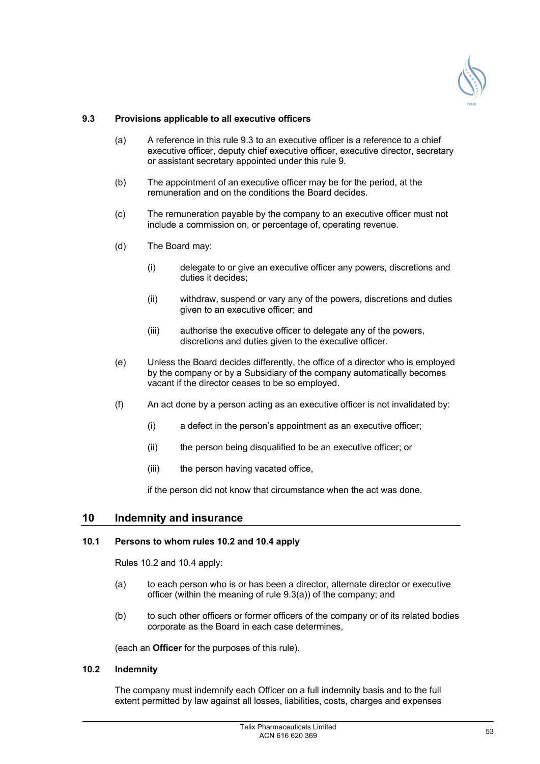

## **9.3 Provisions applicable to all executive officers**

- (a) A reference in this rule 9.3 to an executive officer is a reference to a chief executive officer, deputy chief executive officer, executive director, secretary or assistant secretary appointed under this rule 9.
- (b) The appointment of an executive officer may be for the period, at the remuneration and on the conditions the Board decides.
- (c) The remuneration payable by the company to an executive officer must not include a commission on, or percentage of, operating revenue.
- (d) The Board may:
	- (i) delegate to or give an executive officer any powers, discretions and duties it decides;
	- (ii) withdraw, suspend or vary any of the powers, discretions and duties given to an executive officer; and
	- (iii) authorise the executive officer to delegate any of the powers, discretions and duties given to the executive officer.
- (e) Unless the Board decides differently, the office of a director who is employed by the company or by a Subsidiary of the company automatically becomes vacant if the director ceases to be so employed.
- (f) An act done by a person acting as an executive officer is not invalidated by:
	- (i) a defect in the person's appointment as an executive officer;
	- (ii) the person being disqualified to be an executive officer; or
	- (iii) the person having vacated office,

if the person did not know that circumstance when the act was done.

## **10 Indemnity and insurance**

## **10.1 Persons to whom rules 10.2 and 10.4 apply**

Rules 10.2 and 10.4 apply:

- (a) to each person who is or has been a director, alternate director or executive officer (within the meaning of rule 9.3(a)) of the company; and
- (b) to such other officers or former officers of the company or of its related bodies corporate as the Board in each case determines,

(each an **Officer** for the purposes of this rule).

## **10.2 Indemnity**

The company must indemnify each Officer on a full indemnity basis and to the full extent permitted by law against all losses, liabilities, costs, charges and expenses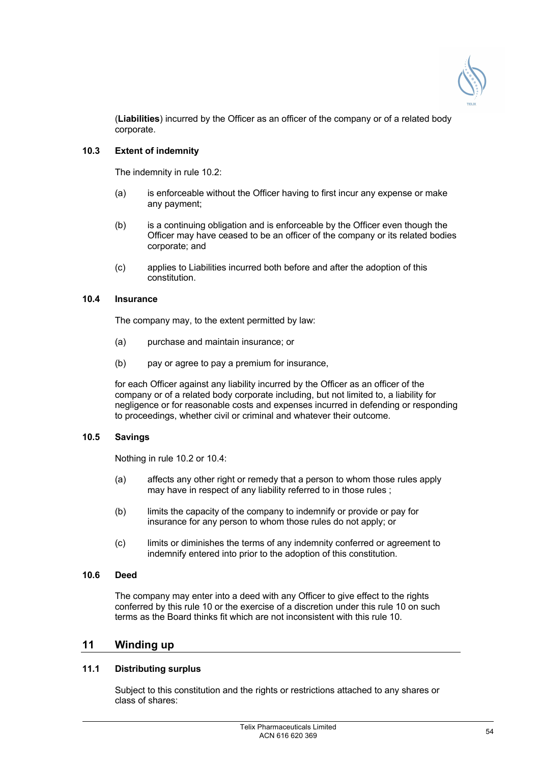

(**Liabilities**) incurred by the Officer as an officer of the company or of a related body corporate.

## **10.3 Extent of indemnity**

The indemnity in rule 10.2:

- (a) is enforceable without the Officer having to first incur any expense or make any payment;
- (b) is a continuing obligation and is enforceable by the Officer even though the Officer may have ceased to be an officer of the company or its related bodies corporate; and
- (c) applies to Liabilities incurred both before and after the adoption of this constitution.

## **10.4 Insurance**

The company may, to the extent permitted by law:

- (a) purchase and maintain insurance; or
- (b) pay or agree to pay a premium for insurance,

for each Officer against any liability incurred by the Officer as an officer of the company or of a related body corporate including, but not limited to, a liability for negligence or for reasonable costs and expenses incurred in defending or responding to proceedings, whether civil or criminal and whatever their outcome.

## **10.5 Savings**

Nothing in rule 10.2 or 10.4:

- (a) affects any other right or remedy that a person to whom those rules apply may have in respect of any liability referred to in those rules ;
- (b) limits the capacity of the company to indemnify or provide or pay for insurance for any person to whom those rules do not apply; or
- (c) limits or diminishes the terms of any indemnity conferred or agreement to indemnify entered into prior to the adoption of this constitution.

## **10.6 Deed**

The company may enter into a deed with any Officer to give effect to the rights conferred by this rule 10 or the exercise of a discretion under this rule 10 on such terms as the Board thinks fit which are not inconsistent with this rule 10.

## **11 Winding up**

## **11.1 Distributing surplus**

Subject to this constitution and the rights or restrictions attached to any shares or class of shares: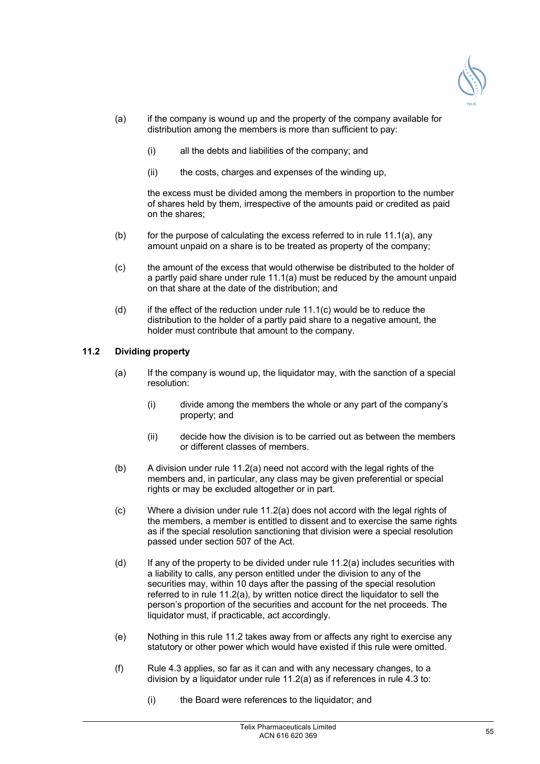

- (a) if the company is wound up and the property of the company available for distribution among the members is more than sufficient to pay:
	- (i) all the debts and liabilities of the company; and
	- (ii) the costs, charges and expenses of the winding up,

the excess must be divided among the members in proportion to the number of shares held by them, irrespective of the amounts paid or credited as paid on the shares;

- $(b)$  for the purpose of calculating the excess referred to in rule 11.1(a), any amount unpaid on a share is to be treated as property of the company;
- (c) the amount of the excess that would otherwise be distributed to the holder of a partly paid share under rule 11.1(a) must be reduced by the amount unpaid on that share at the date of the distribution; and
- $(d)$  if the effect of the reduction under rule 11.1(c) would be to reduce the distribution to the holder of a partly paid share to a negative amount, the holder must contribute that amount to the company.

## **11.2 Dividing property**

- (a) If the company is wound up, the liquidator may, with the sanction of a special resolution:
	- (i) divide among the members the whole or any part of the company's property; and
	- (ii) decide how the division is to be carried out as between the members or different classes of members.
- (b) A division under rule 11.2(a) need not accord with the legal rights of the members and, in particular, any class may be given preferential or special rights or may be excluded altogether or in part.
- (c) Where a division under rule 11.2(a) does not accord with the legal rights of the members, a member is entitled to dissent and to exercise the same rights as if the special resolution sanctioning that division were a special resolution passed under section 507 of the Act.
- $(d)$  If any of the property to be divided under rule 11.2(a) includes securities with a liability to calls, any person entitled under the division to any of the securities may, within 10 days after the passing of the special resolution referred to in rule 11.2(a), by written notice direct the liquidator to sell the person's proportion of the securities and account for the net proceeds. The liquidator must, if practicable, act accordingly.
- (e) Nothing in this rule 11.2 takes away from or affects any right to exercise any statutory or other power which would have existed if this rule were omitted.
- (f) Rule 4.3 applies, so far as it can and with any necessary changes, to a division by a liquidator under rule 11.2(a) as if references in rule 4.3 to:
	- (i) the Board were references to the liquidator; and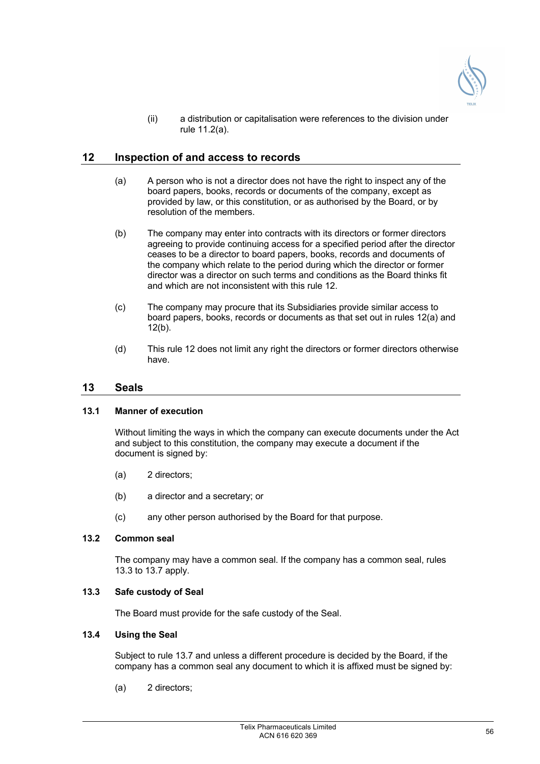

(ii) a distribution or capitalisation were references to the division under rule 11.2(a).

## **12 Inspection of and access to records**

- (a) A person who is not a director does not have the right to inspect any of the board papers, books, records or documents of the company, except as provided by law, or this constitution, or as authorised by the Board, or by resolution of the members.
- (b) The company may enter into contracts with its directors or former directors agreeing to provide continuing access for a specified period after the director ceases to be a director to board papers, books, records and documents of the company which relate to the period during which the director or former director was a director on such terms and conditions as the Board thinks fit and which are not inconsistent with this rule 12.
- (c) The company may procure that its Subsidiaries provide similar access to board papers, books, records or documents as that set out in rules 12(a) and  $12(b)$ .
- (d) This rule 12 does not limit any right the directors or former directors otherwise have.

## **13 Seals**

#### **13.1 Manner of execution**

Without limiting the ways in which the company can execute documents under the Act and subject to this constitution, the company may execute a document if the document is signed by:

- (a) 2 directors;
- (b) a director and a secretary; or
- (c) any other person authorised by the Board for that purpose.

#### **13.2 Common seal**

The company may have a common seal. If the company has a common seal, rules 13.3 to 13.7 apply.

## **13.3 Safe custody of Seal**

The Board must provide for the safe custody of the Seal.

#### **13.4 Using the Seal**

Subject to rule 13.7 and unless a different procedure is decided by the Board, if the company has a common seal any document to which it is affixed must be signed by:

(a) 2 directors;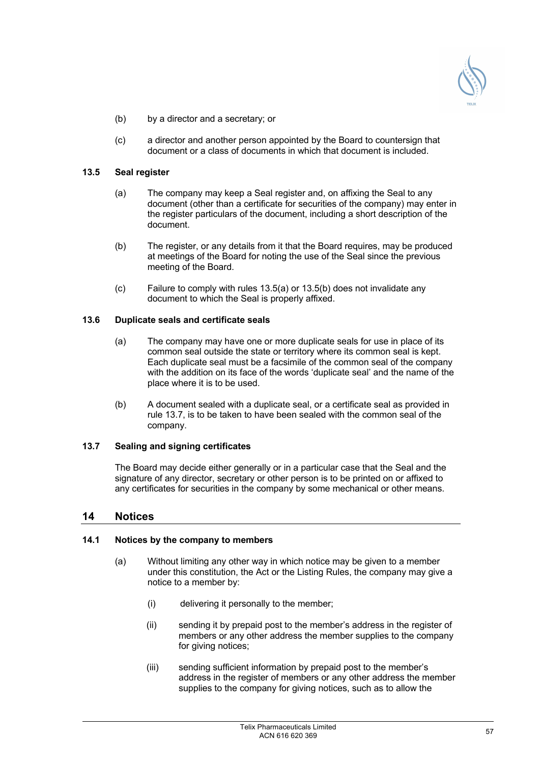

- (b) by a director and a secretary; or
- (c) a director and another person appointed by the Board to countersign that document or a class of documents in which that document is included.

## **13.5 Seal register**

- (a) The company may keep a Seal register and, on affixing the Seal to any document (other than a certificate for securities of the company) may enter in the register particulars of the document, including a short description of the document.
- (b) The register, or any details from it that the Board requires, may be produced at meetings of the Board for noting the use of the Seal since the previous meeting of the Board.
- (c) Failure to comply with rules 13.5(a) or 13.5(b) does not invalidate any document to which the Seal is properly affixed.

## **13.6 Duplicate seals and certificate seals**

- (a) The company may have one or more duplicate seals for use in place of its common seal outside the state or territory where its common seal is kept. Each duplicate seal must be a facsimile of the common seal of the company with the addition on its face of the words 'duplicate seal' and the name of the place where it is to be used.
- (b) A document sealed with a duplicate seal, or a certificate seal as provided in rule 13.7, is to be taken to have been sealed with the common seal of the company.

## **13.7 Sealing and signing certificates**

The Board may decide either generally or in a particular case that the Seal and the signature of any director, secretary or other person is to be printed on or affixed to any certificates for securities in the company by some mechanical or other means.

## **14 Notices**

#### **14.1 Notices by the company to members**

- (a) Without limiting any other way in which notice may be given to a member under this constitution, the Act or the Listing Rules, the company may give a notice to a member by:
	- (i) delivering it personally to the member;
	- (ii) sending it by prepaid post to the member's address in the register of members or any other address the member supplies to the company for giving notices;
	- (iii) sending sufficient information by prepaid post to the member's address in the register of members or any other address the member supplies to the company for giving notices, such as to allow the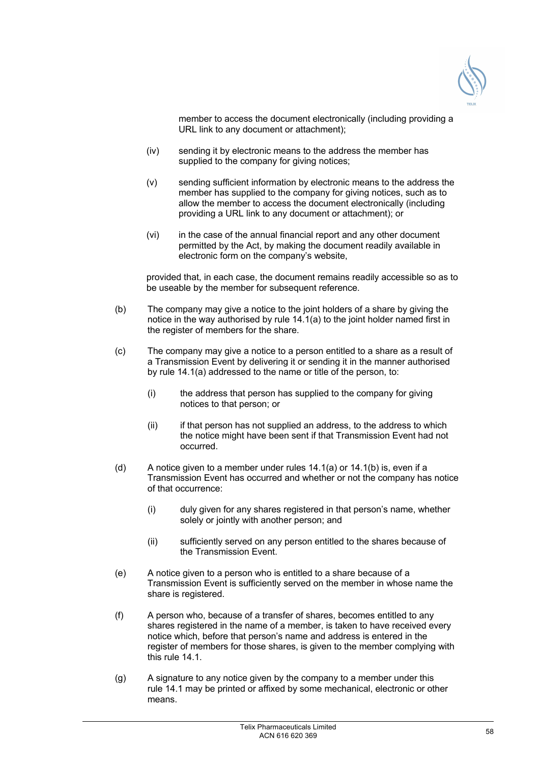

member to access the document electronically (including providing a URL link to any document or attachment);

- (iv) sending it by electronic means to the address the member has supplied to the company for giving notices;
- (v) sending sufficient information by electronic means to the address the member has supplied to the company for giving notices, such as to allow the member to access the document electronically (including providing a URL link to any document or attachment); or
- (vi) in the case of the annual financial report and any other document permitted by the Act, by making the document readily available in electronic form on the company's website,

provided that, in each case, the document remains readily accessible so as to be useable by the member for subsequent reference.

- (b) The company may give a notice to the joint holders of a share by giving the notice in the way authorised by rule 14.1(a) to the joint holder named first in the register of members for the share.
- (c) The company may give a notice to a person entitled to a share as a result of a Transmission Event by delivering it or sending it in the manner authorised by rule 14.1(a) addressed to the name or title of the person, to:
	- (i) the address that person has supplied to the company for giving notices to that person; or
	- (ii) if that person has not supplied an address, to the address to which the notice might have been sent if that Transmission Event had not occurred.
- (d) A notice given to a member under rules 14.1(a) or 14.1(b) is, even if a Transmission Event has occurred and whether or not the company has notice of that occurrence:
	- (i) duly given for any shares registered in that person's name, whether solely or jointly with another person; and
	- (ii) sufficiently served on any person entitled to the shares because of the Transmission Event.
- (e) A notice given to a person who is entitled to a share because of a Transmission Event is sufficiently served on the member in whose name the share is registered.
- (f) A person who, because of a transfer of shares, becomes entitled to any shares registered in the name of a member, is taken to have received every notice which, before that person's name and address is entered in the register of members for those shares, is given to the member complying with this rule 14.1.
- (g) A signature to any notice given by the company to a member under this rule 14.1 may be printed or affixed by some mechanical, electronic or other means.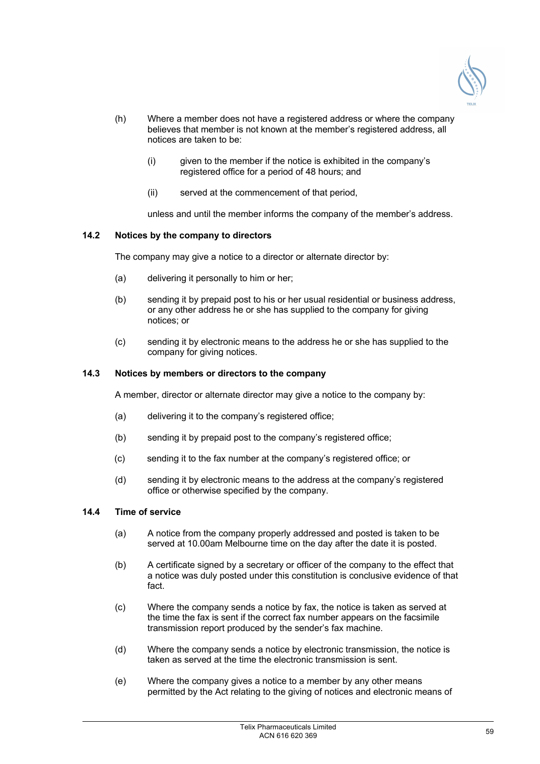

- (h) Where a member does not have a registered address or where the company believes that member is not known at the member's registered address, all notices are taken to be:
	- (i) given to the member if the notice is exhibited in the company's registered office for a period of 48 hours; and
	- (ii) served at the commencement of that period,

unless and until the member informs the company of the member's address.

## **14.2 Notices by the company to directors**

The company may give a notice to a director or alternate director by:

- (a) delivering it personally to him or her;
- (b) sending it by prepaid post to his or her usual residential or business address, or any other address he or she has supplied to the company for giving notices; or
- (c) sending it by electronic means to the address he or she has supplied to the company for giving notices.

## **14.3 Notices by members or directors to the company**

A member, director or alternate director may give a notice to the company by:

- (a) delivering it to the company's registered office:
- (b) sending it by prepaid post to the company's registered office;
- (c) sending it to the fax number at the company's registered office; or
- (d) sending it by electronic means to the address at the company's registered office or otherwise specified by the company.

## **14.4 Time of service**

- (a) A notice from the company properly addressed and posted is taken to be served at 10.00am Melbourne time on the day after the date it is posted.
- (b) A certificate signed by a secretary or officer of the company to the effect that a notice was duly posted under this constitution is conclusive evidence of that fact.
- (c) Where the company sends a notice by fax, the notice is taken as served at the time the fax is sent if the correct fax number appears on the facsimile transmission report produced by the sender's fax machine.
- (d) Where the company sends a notice by electronic transmission, the notice is taken as served at the time the electronic transmission is sent.
- (e) Where the company gives a notice to a member by any other means permitted by the Act relating to the giving of notices and electronic means of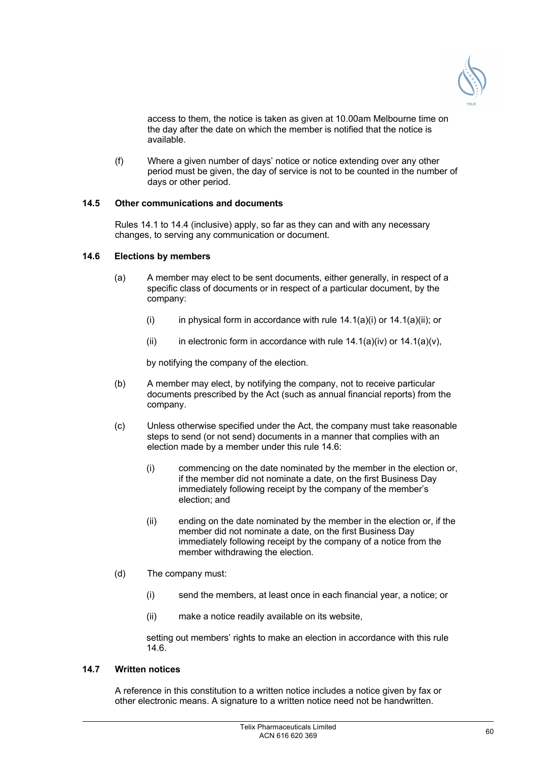

access to them, the notice is taken as given at 10.00am Melbourne time on the day after the date on which the member is notified that the notice is available.

(f) Where a given number of days' notice or notice extending over any other period must be given, the day of service is not to be counted in the number of days or other period.

## **14.5 Other communications and documents**

Rules 14.1 to 14.4 (inclusive) apply, so far as they can and with any necessary changes, to serving any communication or document.

#### **14.6 Elections by members**

- (a) A member may elect to be sent documents, either generally, in respect of a specific class of documents or in respect of a particular document, by the company:
	- (i) in physical form in accordance with rule  $14.1(a)(i)$  or  $14.1(a)(ii)$ ; or
	- (ii) in electronic form in accordance with rule  $14.1(a)(iv)$  or  $14.1(a)(v)$ .

by notifying the company of the election.

- (b) A member may elect, by notifying the company, not to receive particular documents prescribed by the Act (such as annual financial reports) from the company.
- (c) Unless otherwise specified under the Act, the company must take reasonable steps to send (or not send) documents in a manner that complies with an election made by a member under this rule 14.6:
	- (i) commencing on the date nominated by the member in the election or, if the member did not nominate a date, on the first Business Day immediately following receipt by the company of the member's election; and
	- (ii) ending on the date nominated by the member in the election or, if the member did not nominate a date, on the first Business Day immediately following receipt by the company of a notice from the member withdrawing the election.
- (d) The company must:
	- (i) send the members, at least once in each financial year, a notice; or
	- (ii) make a notice readily available on its website,

setting out members' rights to make an election in accordance with this rule 14.6.

## **14.7 Written notices**

A reference in this constitution to a written notice includes a notice given by fax or other electronic means. A signature to a written notice need not be handwritten.